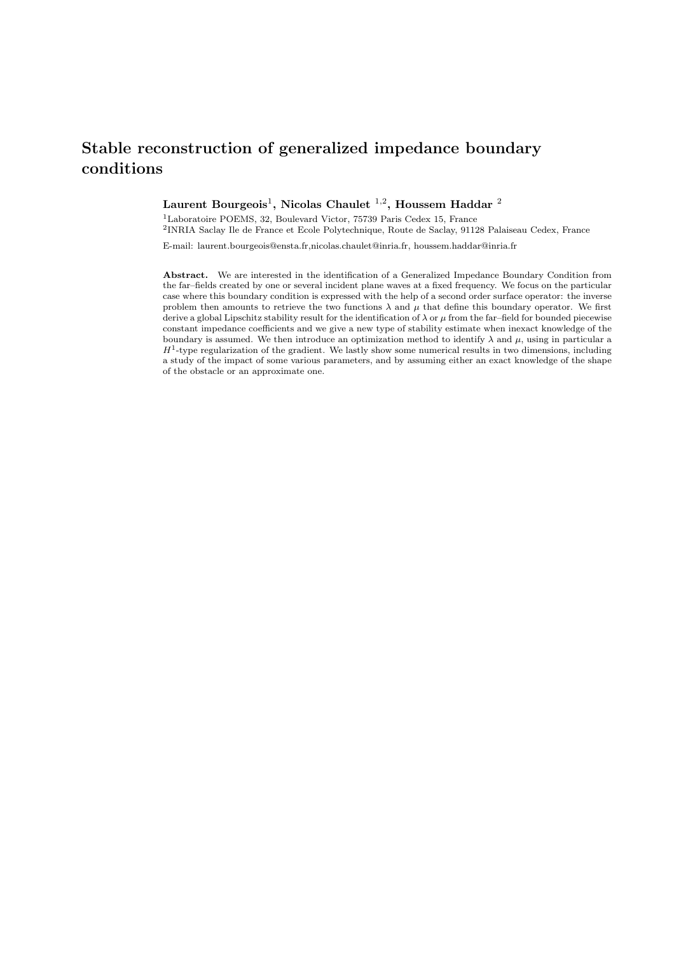# Stable reconstruction of generalized impedance boundary conditions

# Laurent Bourgeois $^1$ , Nicolas Chaulet  $^{1,2}$ , Houssem Haddar  $^2$

<sup>1</sup>Laboratoire POEMS, 32, Boulevard Victor, 75739 Paris Cedex 15, France

2 INRIA Saclay Ile de France et Ecole Polytechnique, Route de Saclay, 91128 Palaiseau Cedex, France

E-mail: laurent.bourgeois@ensta.fr,nicolas.chaulet@inria.fr, houssem.haddar@inria.fr

Abstract. We are interested in the identification of a Generalized Impedance Boundary Condition from the far–fields created by one or several incident plane waves at a fixed frequency. We focus on the particular case where this boundary condition is expressed with the help of a second order surface operator: the inverse problem then amounts to retrieve the two functions  $\lambda$  and  $\mu$  that define this boundary operator. We first derive a global Lipschitz stability result for the identification of  $\lambda$  or  $\mu$  from the far–field for bounded piecewise constant impedance coefficients and we give a new type of stability estimate when inexact knowledge of the boundary is assumed. We then introduce an optimization method to identify  $\lambda$  and  $\mu$ , using in particular a  $H<sup>1</sup>$ -type regularization of the gradient. We lastly show some numerical results in two dimensions, including a study of the impact of some various parameters, and by assuming either an exact knowledge of the shape of the obstacle or an approximate one.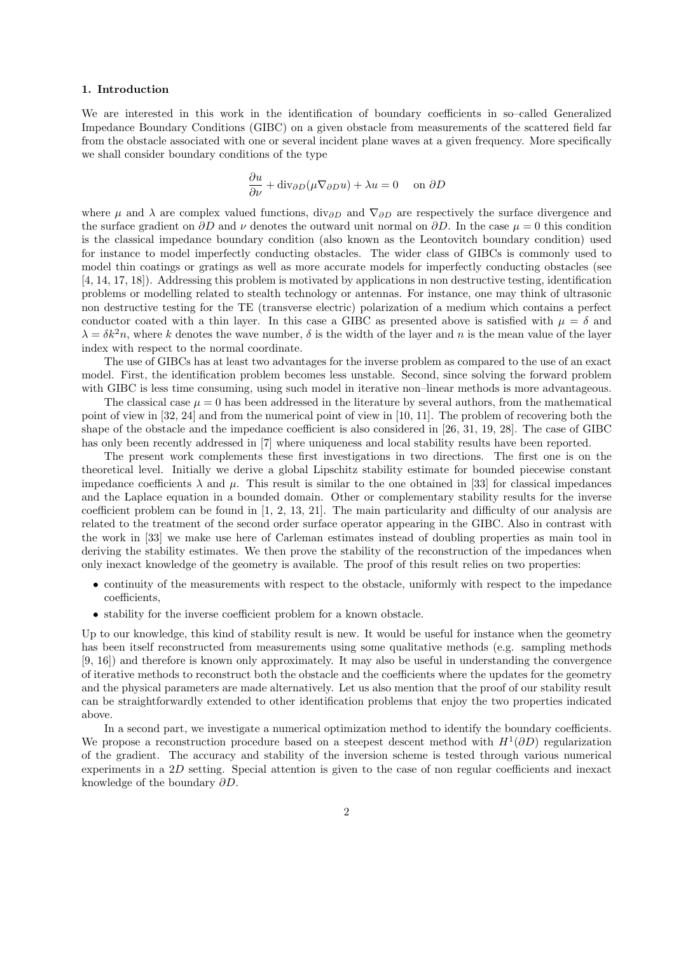## 1. Introduction

We are interested in this work in the identification of boundary coefficients in so–called Generalized Impedance Boundary Conditions (GIBC) on a given obstacle from measurements of the scattered field far from the obstacle associated with one or several incident plane waves at a given frequency. More specifically we shall consider boundary conditions of the type

$$
\frac{\partial u}{\partial \nu} + \text{div}_{\partial D}(\mu \nabla_{\partial D} u) + \lambda u = 0 \quad \text{on } \partial D
$$

where  $\mu$  and  $\lambda$  are complex valued functions, div<sub>∂D</sub> and  $\nabla_{\partial D}$  are respectively the surface divergence and the surface gradient on  $\partial D$  and  $\nu$  denotes the outward unit normal on  $\partial D$ . In the case  $\mu = 0$  this condition is the classical impedance boundary condition (also known as the Leontovitch boundary condition) used for instance to model imperfectly conducting obstacles. The wider class of GIBCs is commonly used to model thin coatings or gratings as well as more accurate models for imperfectly conducting obstacles (see [4, 14, 17, 18]). Addressing this problem is motivated by applications in non destructive testing, identification problems or modelling related to stealth technology or antennas. For instance, one may think of ultrasonic non destructive testing for the TE (transverse electric) polarization of a medium which contains a perfect conductor coated with a thin layer. In this case a GIBC as presented above is satisfied with  $\mu = \delta$  and  $\lambda = \delta k^2 n$ , where k denotes the wave number,  $\delta$  is the width of the layer and n is the mean value of the layer index with respect to the normal coordinate.

The use of GIBCs has at least two advantages for the inverse problem as compared to the use of an exact model. First, the identification problem becomes less unstable. Second, since solving the forward problem with GIBC is less time consuming, using such model in iterative non–linear methods is more advantageous.

The classical case  $\mu = 0$  has been addressed in the literature by several authors, from the mathematical point of view in [32, 24] and from the numerical point of view in [10, 11]. The problem of recovering both the shape of the obstacle and the impedance coefficient is also considered in [26, 31, 19, 28]. The case of GIBC has only been recently addressed in [7] where uniqueness and local stability results have been reported.

The present work complements these first investigations in two directions. The first one is on the theoretical level. Initially we derive a global Lipschitz stability estimate for bounded piecewise constant impedance coefficients  $\lambda$  and  $\mu$ . This result is similar to the one obtained in [33] for classical impedances and the Laplace equation in a bounded domain. Other or complementary stability results for the inverse coefficient problem can be found in [1, 2, 13, 21]. The main particularity and difficulty of our analysis are related to the treatment of the second order surface operator appearing in the GIBC. Also in contrast with the work in [33] we make use here of Carleman estimates instead of doubling properties as main tool in deriving the stability estimates. We then prove the stability of the reconstruction of the impedances when only inexact knowledge of the geometry is available. The proof of this result relies on two properties:

- continuity of the measurements with respect to the obstacle, uniformly with respect to the impedance coefficients,
- stability for the inverse coefficient problem for a known obstacle.

Up to our knowledge, this kind of stability result is new. It would be useful for instance when the geometry has been itself reconstructed from measurements using some qualitative methods (e.g. sampling methods [9, 16]) and therefore is known only approximately. It may also be useful in understanding the convergence of iterative methods to reconstruct both the obstacle and the coefficients where the updates for the geometry and the physical parameters are made alternatively. Let us also mention that the proof of our stability result can be straightforwardly extended to other identification problems that enjoy the two properties indicated above.

In a second part, we investigate a numerical optimization method to identify the boundary coefficients. We propose a reconstruction procedure based on a steepest descent method with  $H^1(\partial D)$  regularization of the gradient. The accuracy and stability of the inversion scheme is tested through various numerical experiments in a 2D setting. Special attention is given to the case of non regular coefficients and inexact knowledge of the boundary ∂D.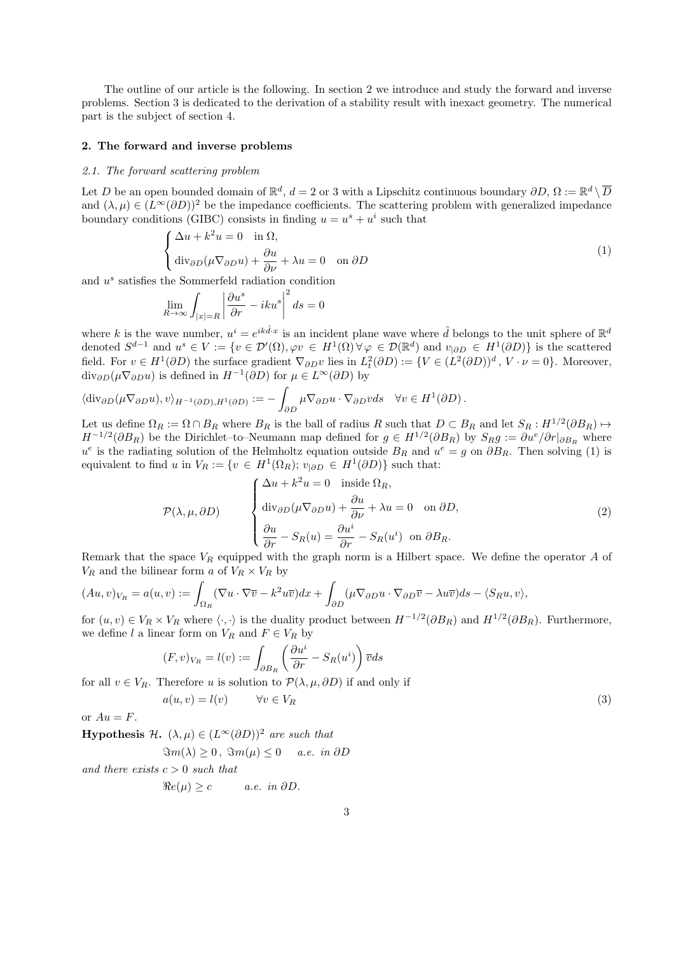The outline of our article is the following. In section 2 we introduce and study the forward and inverse problems. Section 3 is dedicated to the derivation of a stability result with inexact geometry. The numerical part is the subject of section 4.

#### 2. The forward and inverse problems

#### *2.1. The forward scattering problem*

Let D be an open bounded domain of  $\mathbb{R}^d$ ,  $d = 2$  or 3 with a Lipschitz continuous boundary  $\partial D$ ,  $\Omega := \mathbb{R}^d \setminus \overline{D}$ and  $(\lambda, \mu) \in (L^{\infty}(\partial D))^2$  be the impedance coefficients. The scattering problem with generalized impedance boundary conditions (GIBC) consists in finding  $u = u^s + u^i$  such that

$$
\begin{cases} \Delta u + k^2 u = 0 & \text{in } \Omega, \\ \text{div}_{\partial D}(\mu \nabla_{\partial D} u) + \frac{\partial u}{\partial \nu} + \lambda u = 0 & \text{on } \partial D \end{cases}
$$
 (1)

and  $u^s$  satisfies the Sommerfeld radiation condition

$$
\lim_{R \to \infty} \int_{|x|=R} \left| \frac{\partial u^s}{\partial r} - iku^s \right|^2 ds = 0
$$

where k is the wave number,  $u^i = e^{ik\hat{d}\cdot x}$  is an incident plane wave where  $\hat{d}$  belongs to the unit sphere of  $\mathbb{R}^d$ denoted  $S^{d-1}$  and  $u^s \in V := \{v \in \mathcal{D}'(\Omega), \varphi v \in H^1(\Omega) \,\forall \varphi \in \mathcal{D}(\mathbb{R}^d) \text{ and } v_{|\partial D} \in H^1(\partial D) \}$  is the scattered field. For  $v \in H^1(\partial D)$  the surface gradient  $\nabla_{\partial D} v$  lies in  $L^2(\partial D) := \{ V \in (L^2(\partial D))^d, V \cdot \nu = 0 \}$ . Moreover,  $div_{\partial D}(\mu \nabla_{\partial D} u)$  is defined in  $H^{-1}(\partial D)$  for  $\mu \in L^{\infty}(\partial D)$  by

$$
\langle \mathrm{div}_{\partial D}(\mu \nabla_{\partial D} u), v \rangle_{H^{-1}(\partial D), H^1(\partial D)} := - \int_{\partial D} \mu \nabla_{\partial D} u \cdot \nabla_{\partial D} v ds \quad \forall v \in H^1(\partial D).
$$

Let us define  $\Omega_R := \Omega \cap B_R$  where  $B_R$  is the ball of radius R such that  $D \subset B_R$  and let  $S_R : H^{1/2}(\partial B_R) \mapsto$  $H^{-1/2}(\partial B_R)$  be the Dirichlet–to–Neumann map defined for  $g \in H^{1/2}(\partial B_R)$  by  $S_R g := \partial u^e / \partial r|_{\partial B_R}$  where  $u^e$  is the radiating solution of the Helmholtz equation outside  $B_R$  and  $u^e = g$  on  $\partial B_R$ . Then solving (1) is equivalent to find u in  $V_R := \{ v \in H^1(\Omega_R) ; v_{|\partial D} \in H^1(\partial D) \}$  such that:

$$
\mathcal{P}(\lambda, \mu, \partial D) \qquad \begin{cases} \Delta u + k^2 u = 0 & \text{inside } \Omega_R, \\ \text{div}_{\partial D}(\mu \nabla_{\partial D} u) + \frac{\partial u}{\partial \nu} + \lambda u = 0 & \text{on } \partial D, \\ \frac{\partial u}{\partial r} - S_R(u) = \frac{\partial u^i}{\partial r} - S_R(u^i) & \text{on } \partial B_R. \end{cases} \tag{2}
$$

Remark that the space  $V_R$  equipped with the graph norm is a Hilbert space. We define the operator  $A$  of  $V_R$  and the bilinear form a of  $V_R \times V_R$  by

$$
(Au, v)_{V_R} = a(u, v) := \int_{\Omega_R} (\nabla u \cdot \nabla \overline{v} - k^2 u \overline{v}) dx + \int_{\partial D} (\mu \nabla_{\partial D} u \cdot \nabla_{\partial D} \overline{v} - \lambda u \overline{v}) ds - \langle S_R u, v \rangle,
$$

for  $(u, v) \in V_R \times V_R$  where  $\langle \cdot, \cdot \rangle$  is the duality product between  $H^{-1/2}(\partial B_R)$  and  $H^{1/2}(\partial B_R)$ . Furthermore, we define l a linear form on  $V_R$  and  $F \in V_R$  by

$$
(F, v)_{V_R} = l(v) := \int_{\partial B_R} \left( \frac{\partial u^i}{\partial r} - S_R(u^i) \right) \overline{v} ds
$$

for all  $v \in V_R$ . Therefore u is solution to  $\mathcal{P}(\lambda, \mu, \partial D)$  if and only if

$$
a(u, v) = l(v) \qquad \forall v \in V_R \tag{3}
$$

or  $Au = F$ .

**Hypothesis H.**  $(\lambda, \mu) \in (L^{\infty}(\partial D))^2$  *are such that* 

 $\Im m(\lambda) \geq 0$ ,  $\Im m(\mu) \leq 0$  *a.e.* in  $\partial D$ 

*and there exists* c > 0 *such that*

$$
\Re e(\mu) \ge c \qquad a.e. \in \partial D.
$$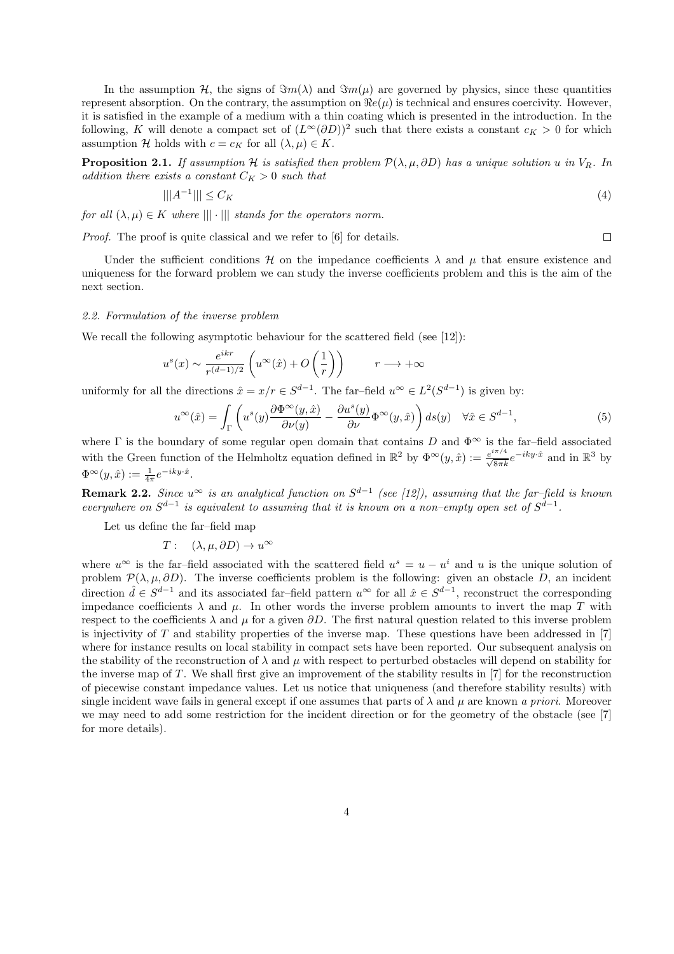In the assumption H, the signs of  $\Im m(\lambda)$  and  $\Im m(\mu)$  are governed by physics, since these quantities represent absorption. On the contrary, the assumption on  $\Re e(\mu)$  is technical and ensures coercivity. However, it is satisfied in the example of a medium with a thin coating which is presented in the introduction. In the following, K will denote a compact set of  $(L^{\infty}(\partial D))^2$  such that there exists a constant  $c_K > 0$  for which assumption H holds with  $c = c_K$  for all  $(\lambda, \mu) \in K$ .

**Proposition 2.1.** *If assumption*  $\mathcal{H}$  *is satisfied then problem*  $\mathcal{P}(\lambda, \mu, \partial D)$  *has a unique solution* u *in*  $V_R$ *. In addition there exists a constant*  $C_K > 0$  *such that* 

$$
|||A^{-1}||| \leq C_K \tag{4}
$$

 $\Box$ 

*for all*  $(\lambda, \mu) \in K$  *where*  $||| \cdot |||$  *stands for the operators norm.* 

*Proof.* The proof is quite classical and we refer to [6] for details.

Under the sufficient conditions  $\mathcal H$  on the impedance coefficients  $\lambda$  and  $\mu$  that ensure existence and uniqueness for the forward problem we can study the inverse coefficients problem and this is the aim of the next section.

### *2.2. Formulation of the inverse problem*

We recall the following asymptotic behaviour for the scattered field (see [12]):

$$
u^{s}(x) \sim \frac{e^{ikr}}{r^{(d-1)/2}} \left( u^{\infty}(\hat{x}) + O\left(\frac{1}{r}\right) \right) \qquad r \longrightarrow +\infty
$$

uniformly for all the directions  $\hat{x} = x/r \in S^{d-1}$ . The far-field  $u^{\infty} \in L^2(S^{d-1})$  is given by:

$$
u^{\infty}(\hat{x}) = \int_{\Gamma} \left( u^s(y) \frac{\partial \Phi^{\infty}(y, \hat{x})}{\partial \nu(y)} - \frac{\partial u^s(y)}{\partial \nu} \Phi^{\infty}(y, \hat{x}) \right) ds(y) \quad \forall \hat{x} \in S^{d-1},\tag{5}
$$

where  $\Gamma$  is the boundary of some regular open domain that contains D and  $\Phi^{\infty}$  is the far–field associated with the Green function of the Helmholtz equation defined in  $\mathbb{R}^2$  by  $\Phi^{\infty}(y, \hat{x}) := \frac{e^{i\pi/4}}{\sqrt{8\pi k}} e^{-iky \cdot \hat{x}}$  and in  $\mathbb{R}^3$  by  $\Phi^{\infty}(y,\hat{x}) := \frac{1}{4\pi}e^{-iky\cdot\hat{x}}.$ 

Remark 2.2. *Since* u<sup>∞</sup> *is an analytical function on* S d−1 *(see [12]), assuming that the far–field is known everywhere on*  $S^{d-1}$  *is equivalent to assuming that it is known on a non–empty open set of*  $S^{d-1}$ *.* 

Let us define the far–field map

$$
T: (\lambda, \mu, \partial D) \to u^{\infty}
$$

where  $u^{\infty}$  is the far–field associated with the scattered field  $u^{s} = u - u^{i}$  and u is the unique solution of problem  $\mathcal{P}(\lambda, \mu, \partial D)$ . The inverse coefficients problem is the following: given an obstacle D, an incident direction  $\hat{d} \in S^{d-1}$  and its associated far-field pattern  $u^{\infty}$  for all  $\hat{x} \in S^{d-1}$ , reconstruct the corresponding impedance coefficients  $\lambda$  and  $\mu$ . In other words the inverse problem amounts to invert the map T with respect to the coefficients  $\lambda$  and  $\mu$  for a given  $\partial D$ . The first natural question related to this inverse problem is injectivity of  $T$  and stability properties of the inverse map. These questions have been addressed in  $[7]$ where for instance results on local stability in compact sets have been reported. Our subsequent analysis on the stability of the reconstruction of  $\lambda$  and  $\mu$  with respect to perturbed obstacles will depend on stability for the inverse map of T. We shall first give an improvement of the stability results in [7] for the reconstruction of piecewise constant impedance values. Let us notice that uniqueness (and therefore stability results) with single incident wave fails in general except if one assumes that parts of  $\lambda$  and  $\mu$  are known *a priori*. Moreover we may need to add some restriction for the incident direction or for the geometry of the obstacle (see [7] for more details).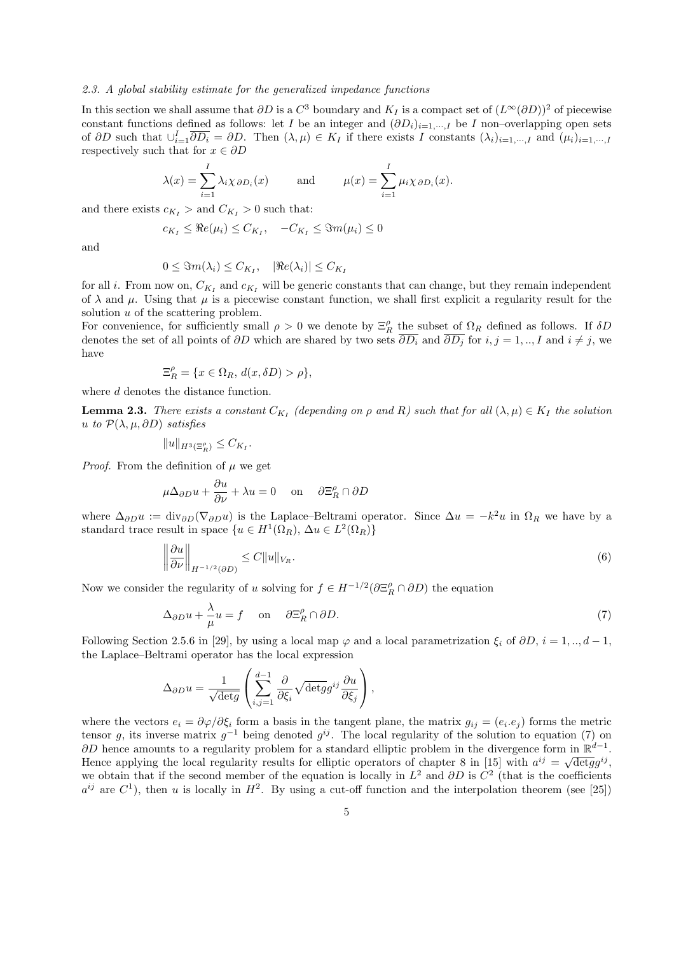#### *2.3. A global stability estimate for the generalized impedance functions*

In this section we shall assume that  $\partial D$  is a  $C^3$  boundary and  $K_I$  is a compact set of  $(L^{\infty}(\partial D))^2$  of piecewise constant functions defined as follows: let I be an integer and  $(\partial D_i)_{i=1,\dots,I}$  be I non–overlapping open sets of  $\partial D$  such that  $\cup_{i=1}^I \overline{\partial D_i} = \partial D$ . Then  $(\lambda, \mu) \in K_I$  if there exists I constants  $(\lambda_i)_{i=1,\dots,I}$  and  $(\mu_i)_{i=1,\dots,I}$ respectively such that for  $x \in \partial D$ 

$$
\lambda(x) = \sum_{i=1}^{I} \lambda_i \chi_{\partial D_i}(x)
$$
 and  $\mu(x) = \sum_{i=1}^{I} \mu_i \chi_{\partial D_i}(x)$ .

and there exists  $c_{K_I} >$  and  $C_{K_I} > 0$  such that:

$$
c_{K_I} \leq \Re e(\mu_i) \leq C_{K_I}, \quad -C_{K_I} \leq \Im m(\mu_i) \leq 0
$$

and

$$
0 \leq \Im m(\lambda_i) \leq C_{K_I}, \quad |\Re e(\lambda_i)| \leq C_{K_I}
$$

for all *i*. From now on,  $C_{K_I}$  and  $c_{K_I}$  will be generic constants that can change, but they remain independent of  $\lambda$  and  $\mu$ . Using that  $\mu$  is a piecewise constant function, we shall first explicit a regularity result for the solution u of the scattering problem.

For convenience, for sufficiently small  $\rho > 0$  we denote by  $\Xi_R^{\rho}$  the subset of  $\Omega_R$  defined as follows. If  $\delta D$ denotes the set of all points of  $\partial D$  which are shared by two sets  $\overline{\partial D_i}$  and  $\overline{\partial D_j}$  for  $i, j = 1, ..., I$  and  $i \neq j$ , we have

$$
\Xi_R^{\rho} = \{ x \in \Omega_R, d(x, \delta D) > \rho \},
$$

where d denotes the distance function.

**Lemma 2.3.** *There exists a constant*  $C_{K_I}$  (depending on  $\rho$  and R) such that for all  $(\lambda, \mu) \in K_I$  the solution u *to*  $\mathcal{P}(\lambda, \mu, \partial D)$  *satisfies* 

$$
||u||_{H^3(\Xi_R^{\rho})} \leq C_{K_I}.
$$

*Proof.* From the definition of  $\mu$  we get

$$
\mu \Delta_{\partial D} u + \frac{\partial u}{\partial \nu} + \lambda u = 0 \quad \text{on} \quad \partial \Xi_R^{\rho} \cap \partial D
$$

where  $\Delta_{\partial D} u := \text{div}_{\partial D} (\nabla_{\partial D} u)$  is the Laplace–Beltrami operator. Since  $\Delta u = -k^2 u$  in  $\Omega_R$  we have by a standard trace result in space  $\{u \in H^1(\Omega_R), \Delta u \in L^2(\Omega_R)\}\$ 

$$
\left\|\frac{\partial u}{\partial \nu}\right\|_{H^{-1/2}(\partial D)} \le C \|u\|_{V_R}.\tag{6}
$$

Now we consider the regularity of u solving for  $f \in H^{-1/2}(\partial \Xi_R^{\rho} \cap \partial D)$  the equation

$$
\Delta_{\partial D} u + \frac{\lambda}{\mu} u = f \quad \text{on} \quad \partial \Xi_R^{\rho} \cap \partial D. \tag{7}
$$

Following Section 2.5.6 in [29], by using a local map  $\varphi$  and a local parametrization  $\xi_i$  of  $\partial D$ ,  $i = 1, ..., d - 1$ , the Laplace–Beltrami operator has the local expression

$$
\Delta_{\partial D} u = \frac{1}{\sqrt{\det g}} \left( \sum_{i,j=1}^{d-1} \frac{\partial}{\partial \xi_i} \sqrt{\det g} g^{ij} \frac{\partial u}{\partial \xi_j} \right),\,
$$

where the vectors  $e_i = \partial \varphi / \partial \xi_i$  form a basis in the tangent plane, the matrix  $g_{ij} = (e_i.e_j)$  forms the metric tensor g, its inverse matrix  $g^{-1}$  being denoted  $g^{ij}$ . The local regularity of the solution to equation (7) on  $\partial D$  hence amounts to a regularity problem for a standard elliptic problem in the divergence form in  $\mathbb{R}^{d-1}$ . Hence applying the local regularity results for elliptic operators of chapter 8 in [15] with  $a^{ij} = \sqrt{\det g}g^{ij}$ , we obtain that if the second member of the equation is locally in  $L^2$  and  $\partial D$  is  $C^2$  (that is the coefficients  $a^{ij}$  are  $C^1$ ), then u is locally in  $H^2$ . By using a cut-off function and the interpolation theorem (see [25])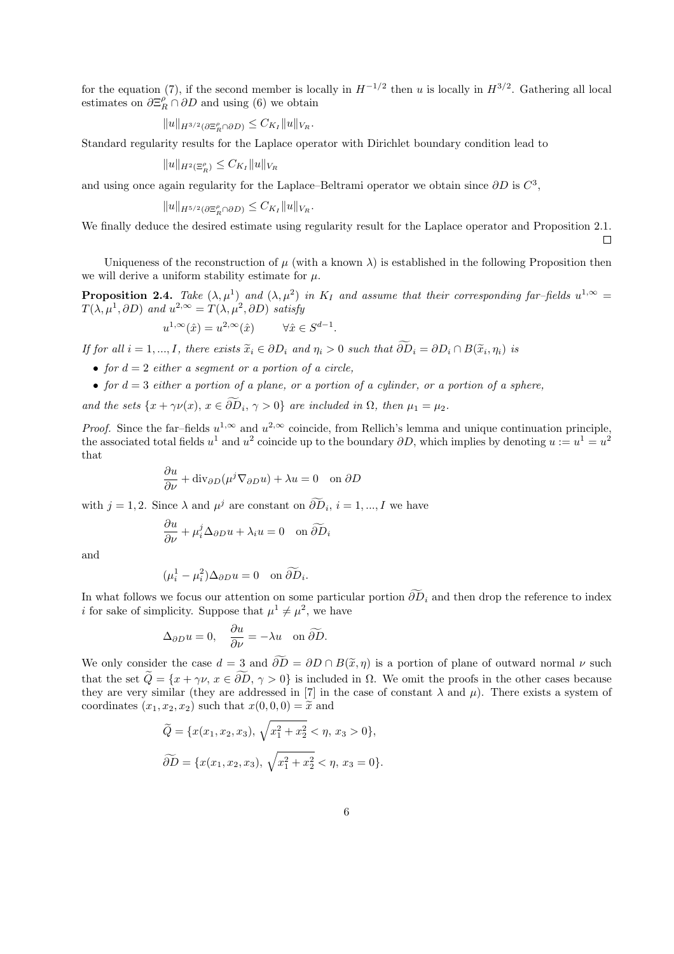for the equation (7), if the second member is locally in  $H^{-1/2}$  then u is locally in  $H^{3/2}$ . Gathering all local estimates on  $\partial \Xi_R^{\rho} \cap \partial D$  and using (6) we obtain

$$
||u||_{H^{3/2}(\partial \Xi_R^{\rho} \cap \partial D)} \leq C_{K_I} ||u||_{V_R}.
$$

Standard regularity results for the Laplace operator with Dirichlet boundary condition lead to

$$
||u||_{H^2(\Xi_R^{\rho})} \leq C_{K_I} ||u||_{V_R}
$$

and using once again regularity for the Laplace–Beltrami operator we obtain since  $\partial D$  is  $C^3$ ,

$$
||u||_{H^{5/2}(\partial \Xi_R^{\rho} \cap \partial D)} \leq C_{K_I} ||u||_{V_R}.
$$

We finally deduce the desired estimate using regularity result for the Laplace operator and Proposition 2.1.

 $\Box$ 

Uniqueness of the reconstruction of  $\mu$  (with a known  $\lambda$ ) is established in the following Proposition then we will derive a uniform stability estimate for  $\mu$ .

**Proposition 2.4.** Take  $(\lambda, \mu^1)$  and  $(\lambda, \mu^2)$  in  $K_I$  and assume that their corresponding far-fields  $u^{1,\infty} =$  $T(\lambda, \mu^1, \partial D)$  and  $u^{2,\infty} = T(\lambda, \mu^2, \partial D)$  satisfy

$$
u^{1,\infty}(\hat{x}) = u^{2,\infty}(\hat{x}) \qquad \forall \hat{x} \in S^{d-1}.
$$

*If for all*  $i = 1, ..., I$ , there exists  $\tilde{x}_i \in \partial D_i$  and  $\eta_i > 0$  such that  $\partial D_i = \partial D_i \cap B(\tilde{x}_i, \eta_i)$  is

- *for*  $d = 2$  *either a segment or a portion of a circle.*
- *for*  $d = 3$  *either a portion of a plane, or a portion of a cylinder, or a portion of a sphere,*

*and the sets*  $\{x + \gamma \nu(x), x \in \partial D_i, \gamma > 0\}$  *are included in*  $\Omega$ *, then*  $\mu_1 = \mu_2$ *.* 

*Proof.* Since the far–fields  $u^{1,\infty}$  and  $u^{2,\infty}$  coincide, from Rellich's lemma and unique continuation principle, the associated total fields  $u^1$  and  $u^2$  coincide up to the boundary  $\partial D$ , which implies by denoting  $u := u^1 = u^2$ that

$$
\frac{\partial u}{\partial \nu} + \text{div}_{\partial D}(\mu^j \nabla_{\partial D} u) + \lambda u = 0 \quad \text{on } \partial D
$$

with  $j = 1, 2$ . Since  $\lambda$  and  $\mu^j$  are constant on  $\partial D_i$ ,  $i = 1, ..., I$  we have

$$
\frac{\partial u}{\partial \nu} + \mu_i^j \Delta_{\partial D} u + \lambda_i u = 0 \quad \text{on } \widetilde{\partial D}_i
$$

and

$$
(\mu_i^1 - \mu_i^2) \Delta_{\partial D} u = 0 \quad \text{on } \widetilde{\partial D}_i.
$$

In what follows we focus our attention on some particular portion  $\widetilde{\partial D}_i$  and then drop the reference to index i for sake of simplicity. Suppose that  $\mu^1 \neq \mu^2$ , we have

$$
\Delta_{\partial D} u = 0, \quad \frac{\partial u}{\partial \nu} = -\lambda u \quad \text{on } \widetilde{\partial D}.
$$

We only consider the case  $d = 3$  and  $\widetilde{\partial D} = \partial D \cap B(\widetilde{x}, \eta)$  is a portion of plane of outward normal  $\nu$  such that the set  $\tilde{Q} = \{x + \gamma \nu, x \in \partial \tilde{D}, \gamma > 0\}$  is included in  $\Omega$ . We omit the proofs in the other cases because they are very similar (they are addressed in [7] in the case of constant  $\lambda$  and  $\mu$ ). There exists a system of coordinates  $(x_1, x_2, x_2)$  such that  $x(0, 0, 0) = \tilde{x}$  and

$$
\widetilde{Q} = \{x(x_1, x_2, x_3), \sqrt{x_1^2 + x_2^2} < \eta, x_3 > 0\},
$$
\n
$$
\widetilde{\partial D} = \{x(x_1, x_2, x_3), \sqrt{x_1^2 + x_2^2} < \eta, x_3 = 0\}.
$$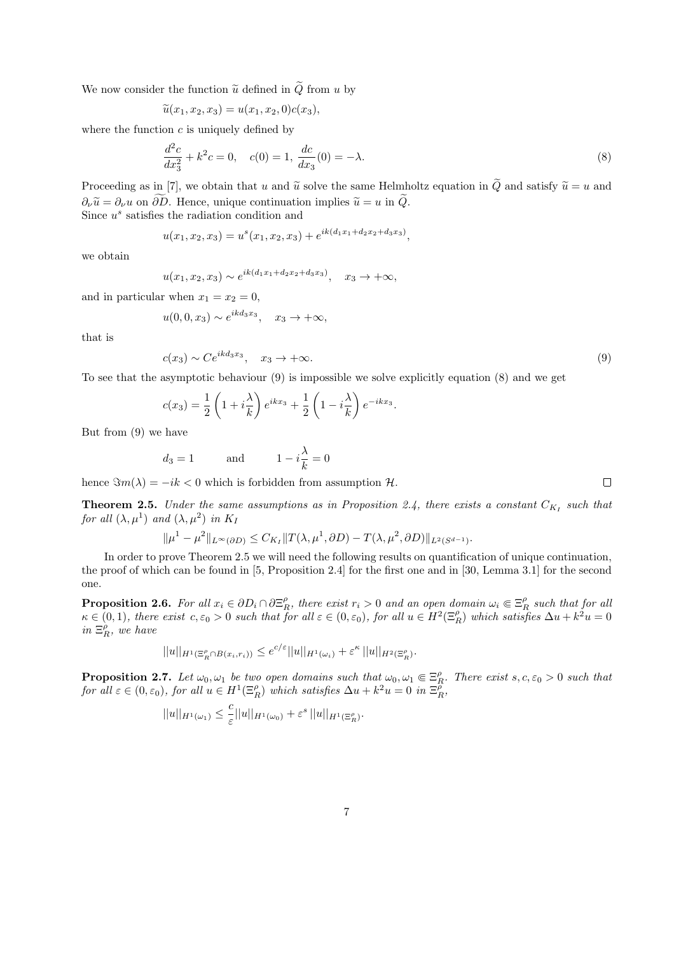We now consider the function  $\tilde{u}$  defined in  $\tilde{Q}$  from u by

$$
\widetilde{u}(x_1, x_2, x_3) = u(x_1, x_2, 0)c(x_3),
$$

where the function  $c$  is uniquely defined by

$$
\frac{d^2c}{dx_3^2} + k^2c = 0, \quad c(0) = 1, \frac{dc}{dx_3}(0) = -\lambda.
$$
 (8)

.

Proceeding as in [7], we obtain that u and  $\tilde{u}$  solve the same Helmholtz equation in  $\tilde{Q}$  and satisfy  $\tilde{u} = u$  and  $\partial_{\nu}\tilde{u}=\partial_{\nu}u$  on  $\widetilde{\partial D}$ . Hence, unique continuation implies  $\tilde{u}=u$  in  $\tilde{Q}$ . Since  $u^s$  satisfies the radiation condition and

$$
u(x_1, x_2, x_3) = u^s(x_1, x_2, x_3) + e^{ik(d_1x_1 + d_2x_2 + d_3x_3)},
$$

we obtain

$$
u(x_1, x_2, x_3) \sim e^{ik(d_1x_1 + d_2x_2 + d_3x_3)}, \quad x_3 \to +\infty,
$$

and in particular when  $x_1 = x_2 = 0$ ,

$$
u(0,0,x_3) \sim e^{ikd_3x_3}, \quad x_3 \to +\infty,
$$

that is

$$
c(x_3) \sim Ce^{ikd_3x_3}, \quad x_3 \to +\infty. \tag{9}
$$

To see that the asymptotic behaviour (9) is impossible we solve explicitly equation (8) and we get

$$
c(x_3) = \frac{1}{2} \left( 1 + i \frac{\lambda}{k} \right) e^{ikx_3} + \frac{1}{2} \left( 1 - i \frac{\lambda}{k} \right) e^{-ikx_3}
$$

But from (9) we have

$$
d_3 = 1 \qquad \text{and} \qquad 1 - i\frac{\lambda}{k} = 0
$$

hence  $\Im m(\lambda) = -ik < 0$  which is forbidden from assumption H.

**Theorem 2.5.** Under the same assumptions as in Proposition 2.4, there exists a constant  $C_{K_I}$  such that *for all*  $(\lambda, \mu^1)$  *and*  $(\lambda, \mu^2)$  *in*  $K_I$ 

$$
\|\mu^1 - \mu^2\|_{L^{\infty}(\partial D)} \leq C_{K_I} \|T(\lambda, \mu^1, \partial D) - T(\lambda, \mu^2, \partial D)\|_{L^2(S^{d-1})}.
$$

In order to prove Theorem 2.5 we will need the following results on quantification of unique continuation, the proof of which can be found in [5, Proposition 2.4] for the first one and in [30, Lemma 3.1] for the second one.

**Proposition 2.6.** For all  $x_i \in \partial D_i \cap \partial \Xi_R^{\rho}$ , there exist  $r_i > 0$  and an open domain  $\omega_i \in \Xi_R^{\rho}$  such that for all  $\kappa \in (0,1)$ , there exist  $c, \varepsilon_0 > 0$  such that for all  $\varepsilon \in (0, \varepsilon_0)$ , for all  $u \in H^2(\Xi_R^{\rho})$  which satisfies  $\Delta u + k^2 u = 0$  $in \ \Xi_R^{\rho}$ *, we have* 

$$
||u||_{H^1(\Xi_R^{\rho} \cap B(x_i,r_i))} \leq e^{c/\varepsilon} ||u||_{H^1(\omega_i)} + \varepsilon^{\kappa} ||u||_{H^2(\Xi_R^{\rho})}.
$$

**Proposition 2.7.** Let  $\omega_0, \omega_1$  be two open domains such that  $\omega_0, \omega_1 \in \Xi_R^{\rho}$ . There exist  $s, c, \varepsilon_0 > 0$  such that *for all*  $\varepsilon \in (0, \varepsilon_0)$ , *for all*  $u \in H^1(\Xi_R^{\rho})$  *which satisfies*  $\Delta u + k^2 u = 0$  *in*  $\Xi_R^{\rho}$ ,

$$
||u||_{H^1(\omega_1)} \leq \frac{c}{\varepsilon}||u||_{H^1(\omega_0)} + \varepsilon^s ||u||_{H^1(\Xi_R^{\rho})}.
$$

 $\Box$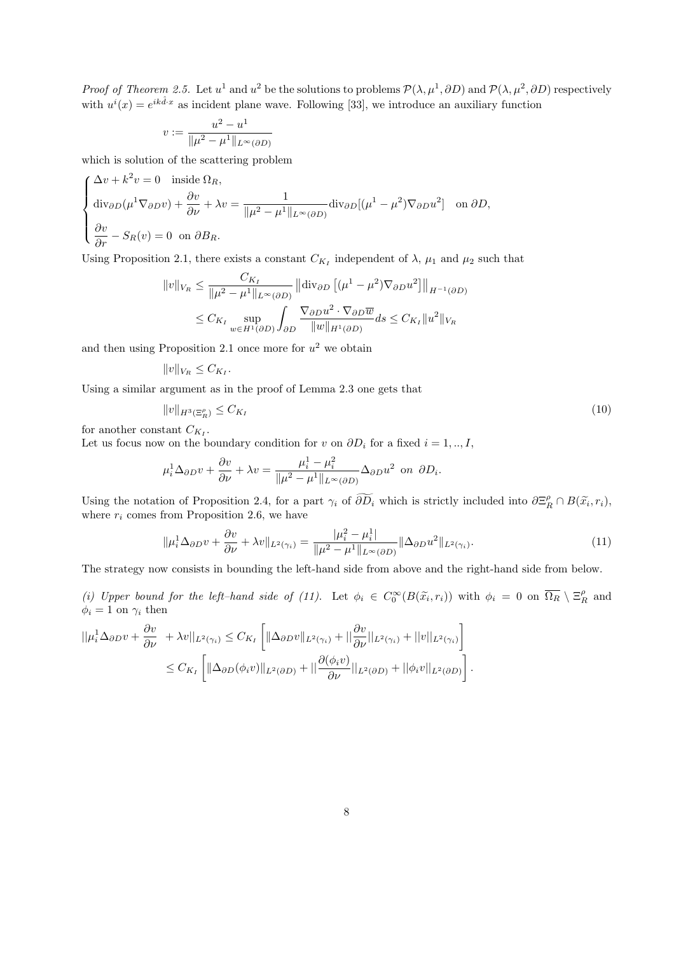*Proof of Theorem 2.5.* Let  $u^1$  and  $u^2$  be the solutions to problems  $\mathcal{P}(\lambda, \mu^1, \partial D)$  and  $\mathcal{P}(\lambda, \mu^2, \partial D)$  respectively with  $u^{i}(x) = e^{ik\hat{d}\cdot x}$  as incident plane wave. Following [33], we introduce an auxiliary function

$$
v:=\frac{u^2-u^1}{\|\mu^2-\mu^1\|_{L^\infty(\partial D)}}
$$

which is solution of the scattering problem

$$
\begin{cases}\n\Delta v + k^2 v = 0 & \text{inside } \Omega_R, \\
\text{div}_{\partial D}(\mu^1 \nabla_{\partial D} v) + \frac{\partial v}{\partial \nu} + \lambda v = \frac{1}{\|\mu^2 - \mu^1\|_{L^\infty(\partial D)}} \text{div}_{\partial D}[(\mu^1 - \mu^2) \nabla_{\partial D} u^2] & \text{on } \partial D, \\
\frac{\partial v}{\partial r} - S_R(v) = 0 & \text{on } \partial B_R.\n\end{cases}
$$

Using Proposition 2.1, there exists a constant  $C_{K_I}$  independent of  $\lambda$ ,  $\mu_1$  and  $\mu_2$  such that

$$
||v||_{V_R} \le \frac{C_{K_I}}{||\mu^2 - \mu^1||_{L^\infty(\partial D)}} ||\text{div}_{\partial D} [(\mu^1 - \mu^2) \nabla_{\partial D} u^2]||_{H^{-1}(\partial D)}
$$
  

$$
\le C_{K_I} \sup_{w \in H^1(\partial D)} \int_{\partial D} \frac{\nabla_{\partial D} u^2 \cdot \nabla_{\partial D} \overline{w}}{||w||_{H^1(\partial D)}} ds \le C_{K_I} ||u^2||_{V_R}
$$

and then using Proposition 2.1 once more for  $u^2$  we obtain

$$
||v||_{V_R} \leq C_{K_I}.
$$

Using a similar argument as in the proof of Lemma 2.3 one gets that

$$
||v||_{H^3(\Xi_R^{\rho})} \le C_{K_I}
$$
\n(10)

for another constant 
$$
C_{K_I}
$$
.

Let us focus now on the boundary condition for v on  $\partial D_i$  for a fixed  $i = 1, ..., I$ ,

$$
\mu_i^1 \Delta_{\partial D} v + \frac{\partial v}{\partial \nu} + \lambda v = \frac{\mu_i^1 - \mu_i^2}{\|\mu^2 - \mu^1\|_{L^\infty(\partial D)}} \Delta_{\partial D} u^2
$$
 on  $\partial D_i$ .

Using the notation of Proposition 2.4, for a part  $\gamma_i$  of  $\widetilde{\partial D_i}$  which is strictly included into  $\partial \Xi_R^{\rho} \cap B(\widetilde{x}_i,r_i)$ , where  $r_i$  comes from Proposition 2.6, we have

$$
\|\mu_i^1 \Delta_{\partial D} v + \frac{\partial v}{\partial \nu} + \lambda v\|_{L^2(\gamma_i)} = \frac{|\mu_i^2 - \mu_i^1|}{\|\mu^2 - \mu^1\|_{L^\infty(\partial D)}} \|\Delta_{\partial D} u^2\|_{L^2(\gamma_i)}.
$$
\n(11)

The strategy now consists in bounding the left-hand side from above and the right-hand side from below.

(i) Upper bound for the left-hand side of (11). Let  $\phi_i \in C_0^{\infty}(B(\tilde{x}_i, r_i))$  with  $\phi_i = 0$  on  $\overline{\Omega_R} \setminus \Xi_R^{\rho}$  and  $\phi_i = 1$  on  $\gamma_i$  then

$$
\begin{split} ||\mu_i^1 \Delta_{\partial D} v + \frac{\partial v}{\partial \nu} + \lambda v||_{L^2(\gamma_i)} &\leq C_{K_I} \left[ \|\Delta_{\partial D} v\|_{L^2(\gamma_i)} + \|\frac{\partial v}{\partial \nu}||_{L^2(\gamma_i)} + ||v||_{L^2(\gamma_i)} \right] \\ &\leq C_{K_I} \left[ \|\Delta_{\partial D} (\phi_i v)\|_{L^2(\partial D)} + \|\frac{\partial (\phi_i v)}{\partial \nu}||_{L^2(\partial D)} + ||\phi_i v||_{L^2(\partial D)} \right]. \end{split}
$$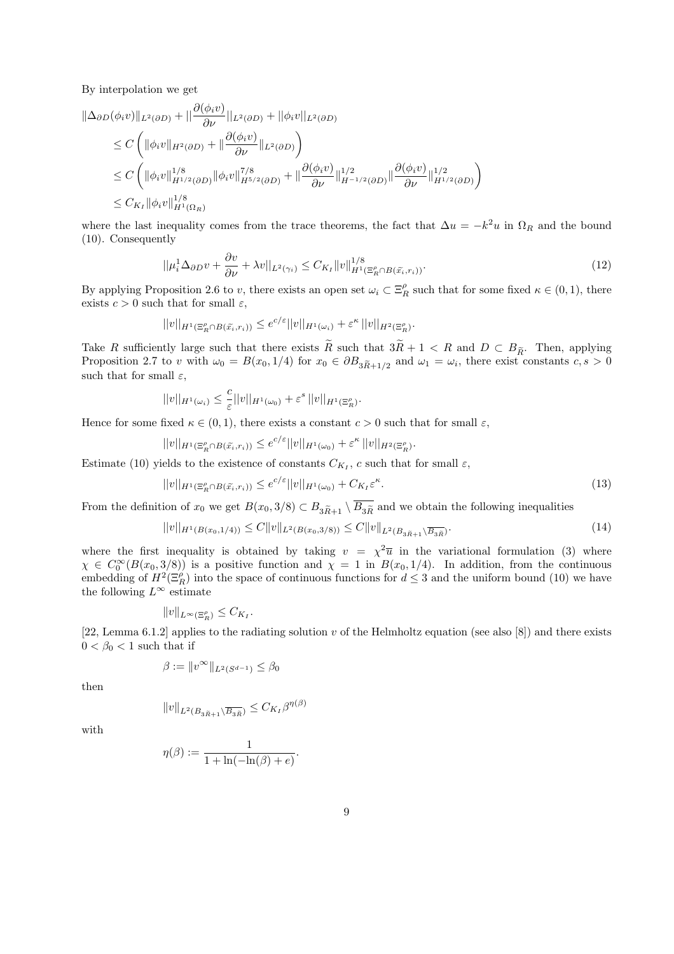By interpolation we get

$$
\|\Delta_{\partial D}(\phi_i v)\|_{L^2(\partial D)} + \|\frac{\partial(\phi_i v)}{\partial \nu}\|_{L^2(\partial D)} + \|\phi_i v\|_{L^2(\partial D)}
$$
  
\n
$$
\leq C \left( \|\phi_i v\|_{H^2(\partial D)} + \|\frac{\partial(\phi_i v)}{\partial \nu}\|_{L^2(\partial D)} \right)
$$
  
\n
$$
\leq C \left( \|\phi_i v\|_{H^{1/2}(\partial D)}^{1/8} \|\phi_i v\|_{H^{5/2}(\partial D)}^{7/8} + \|\frac{\partial(\phi_i v)}{\partial \nu}\|_{H^{-1/2}(\partial D)}^{1/2} \|\frac{\partial(\phi_i v)}{\partial \nu}\|_{H^{1/2}(\partial D)}^{1/2} \right)
$$
  
\n
$$
\leq C_{K_I} \|\phi_i v\|_{H^1(\Omega_R)}^{1/8}
$$

where the last inequality comes from the trace theorems, the fact that  $\Delta u = -k^2 u$  in  $\Omega_R$  and the bound (10). Consequently

$$
||\mu_i^1 \Delta_{\partial D} v + \frac{\partial v}{\partial \nu} + \lambda v||_{L^2(\gamma_i)} \leq C_{K_I} ||v||_{H^1(\Xi_R^{\rho} \cap B(\widetilde{x}_i, r_i))}^{1/8}.
$$
\n(12)

By applying Proposition 2.6 to v, there exists an open set  $\omega_i \subset \Xi_R^{\rho}$  such that for some fixed  $\kappa \in (0,1)$ , there exists  $c > 0$  such that for small  $\varepsilon$ ,

$$
||v||_{H^1(\Xi_R^{\rho} \cap B(\widetilde{x}_i,r_i))} \leq e^{c/\varepsilon} ||v||_{H^1(\omega_i)} + \varepsilon^{\kappa} ||v||_{H^2(\Xi_R^{\rho})}.
$$

Take R sufficiently large such that there exists  $\widetilde{R}$  such that  $3\widetilde{R}+1 < R$  and  $D \subset B_{\widetilde{R}}$ . Then, applying Proposition 2.7 to v with  $\omega_0 = B(x_0, 1/4)$  for  $x_0 \in \partial B_{3\tilde{R}+1/2}$  and  $\omega_1 = \omega_i$ , there exist constants  $c, s > 0$ such that for small  $\varepsilon$ ,

$$
||v||_{H^1(\omega_i)} \leq \frac{c}{\varepsilon} ||v||_{H^1(\omega_0)} + \varepsilon^s ||v||_{H^1(\Xi_R^{\rho})}.
$$

Hence for some fixed  $\kappa \in (0,1)$ , there exists a constant  $c > 0$  such that for small  $\varepsilon$ ,

$$
||v||_{H^1(\Xi_R^{\rho} \cap B(\widetilde{x}_i,r_i))} \leq e^{c/\varepsilon} ||v||_{H^1(\omega_0)} + \varepsilon^{\kappa} ||v||_{H^2(\Xi_R^{\rho})}.
$$

Estimate (10) yields to the existence of constants  $C_{K_I}$ , c such that for small  $\varepsilon$ ,

$$
||v||_{H^1(\Xi_R^{\rho}\cap B(\widetilde{x}_i,r_i))} \leq e^{c/\varepsilon}||v||_{H^1(\omega_0)} + C_{K_I}\varepsilon^{\kappa}.
$$
\n(13)

From the definition of  $x_0$  we get  $B(x_0, 3/8) \subset B_{3\tilde{R}+1} \setminus \overline{B_{3\tilde{R}}}$  and we obtain the following inequalities

$$
||v||_{H^1(B(x_0,1/4))} \leq C||v||_{L^2(B(x_0,3/8))} \leq C||v||_{L^2(B_{3\tilde{R}+1}\setminus\overline{B_{3\tilde{R}}})}.
$$
\n(14)

where the first inequality is obtained by taking  $v = \chi^2 \bar{u}$  in the variational formulation (3) where  $\chi \in C_0^{\infty}(B(x_0,3/8))$  is a positive function and  $\chi = 1$  in  $B(x_0,1/4)$ . In addition, from the continuous embedding of  $H^2(\Xi_R^{\rho})$  into the space of continuous functions for  $d \leq 3$  and the uniform bound (10) we have the following  $L^{\infty}$  estimate

$$
||v||_{L^{\infty}(\Xi_R^{\rho})} \leq C_{K_I}.
$$

[22, Lemma 6.1.2] applies to the radiating solution v of the Helmholtz equation (see also [8]) and there exists  $0 < \beta_0 < 1$  such that if

$$
\beta := \|v^{\infty}\|_{L^2(S^{d-1})} \le \beta_0
$$

then

$$
||v||_{L^2(B_{3\tilde{R}+1}\setminus \overline{B_{3\tilde{R}}})}\leq C_{K_I}\beta^{\eta(\beta)}
$$

with

$$
\eta(\beta) := \frac{1}{1 + \ln(-\ln(\beta) + e)}.
$$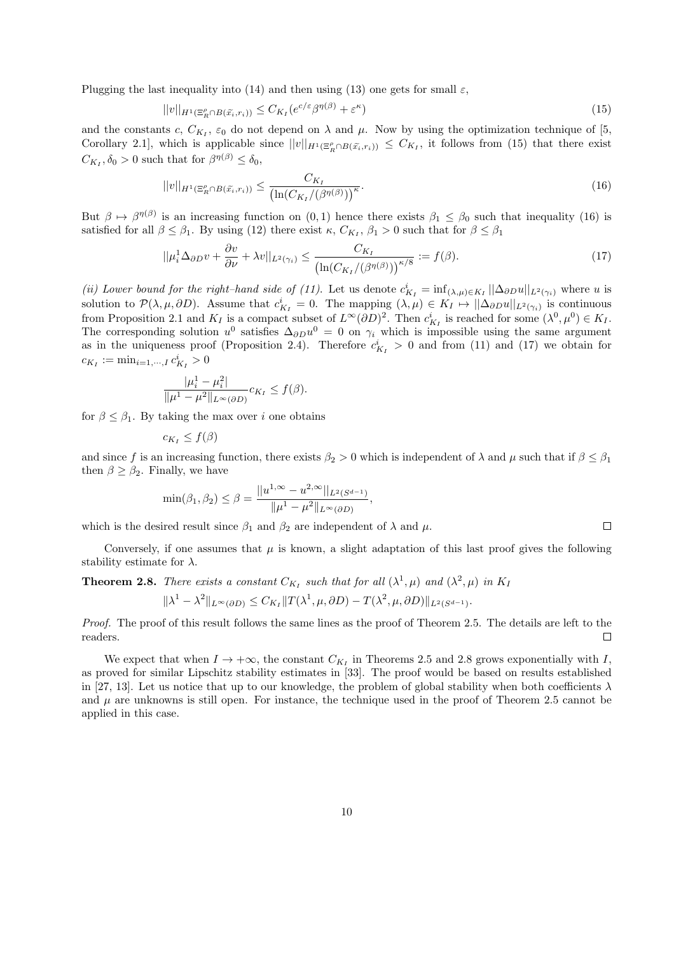Plugging the last inequality into (14) and then using (13) one gets for small  $\varepsilon$ ,

$$
||v||_{H^1(\Xi_R^{\rho} \cap B(\tilde{x}_i, r_i))} \leq C_{K_I}(e^{c/\varepsilon} \beta^{\eta(\beta)} + \varepsilon^{\kappa})
$$
\n(15)

and the constants c,  $C_{K_I}$ ,  $\varepsilon_0$  do not depend on  $\lambda$  and  $\mu$ . Now by using the optimization technique of [5, Corollary 2.1, which is applicable since  $||v||_{H^1(\Xi_R^{\rho} \cap B(\tilde{x}_i,r_i))} \leq C_{K_I}$ , it follows from (15) that there exist  $C_{K_I}, \delta_0 > 0$  such that for  $\beta^{\eta(\beta)} \leq \delta_0$ ,

$$
||v||_{H^1(\Xi_R^{\rho} \cap B(\tilde{x}_i, r_i))} \leq \frac{C_{K_I}}{\left(\ln(C_{K_I}/(\beta^{\eta(\beta)})\right)^{\kappa}}.
$$
\n(16)

But  $\beta \mapsto \beta^{\eta(\beta)}$  is an increasing function on  $(0,1)$  hence there exists  $\beta_1 \leq \beta_0$  such that inequality (16) is satisfied for all  $\beta \le \beta_1$ . By using (12) there exist  $\kappa$ ,  $C_{K_I}$ ,  $\beta_1 > 0$  such that for  $\beta \le \beta_1$ 

$$
||\mu_i^1 \Delta_{\partial D} v + \frac{\partial v}{\partial \nu} + \lambda v||_{L^2(\gamma_i)} \le \frac{C_{K_I}}{\left(\ln(C_{K_I}/(\beta^{\eta(\beta)})\right)^{\kappa/8}} := f(\beta). \tag{17}
$$

(*ii*) Lower bound for the right–hand side of (11). Let us denote  $c_{K_I}^i = \inf_{(\lambda,\mu)\in K_I} ||\Delta_{\partial D}u||_{L^2(\gamma_i)}$  where u is solution to  $\mathcal{P}(\lambda,\mu,\partial D)$ . Assume that  $c_{K_I}^i = 0$ . The mapping  $(\lambda,\mu) \in K_I \mapsto ||\Delta_{\partial D} u||_{L^2(\gamma_i)}$  is continuous from Proposition 2.1 and  $K_I$  is a compact subset of  $L^{\infty}(\partial D)^2$ . Then  $c_{K_I}^i$  is reached for some  $(\lambda^0, \mu^0) \in K_I$ . The corresponding solution  $u^0$  satisfies  $\Delta_{\partial D} u^0 = 0$  on  $\gamma_i$  which is impossible using the same argument as in the uniqueness proof (Proposition 2.4). Therefore  $c_{K_I}^i > 0$  and from (11) and (17) we obtain for  $c_{K_I} := \min_{i=1,\cdots,I} c_{K_I}^i > 0$ 

$$
\frac{|\mu_i^1 - \mu_i^2|}{\|\mu^1 - \mu^2\|_{L^\infty(\partial D)}} c_{K_I} \le f(\beta).
$$

for  $\beta \leq \beta_1$ . By taking the max over *i* one obtains

$$
c_{K_I} \le f(\beta)
$$

and since f is an increasing function, there exists  $\beta_2 > 0$  which is independent of  $\lambda$  and  $\mu$  such that if  $\beta \leq \beta_1$ then  $\beta \geq \beta_2$ . Finally, we have

$$
\min(\beta_1, \beta_2) \le \beta = \frac{||u^{1,\infty} - u^{2,\infty}||_{L^2(S^{d-1})}}{||\mu^1 - \mu^2||_{L^{\infty}(\partial D)}},
$$

which is the desired result since  $\beta_1$  and  $\beta_2$  are independent of  $\lambda$  and  $\mu$ .

Conversely, if one assumes that  $\mu$  is known, a slight adaptation of this last proof gives the following stability estimate for  $\lambda$ .

**Theorem 2.8.** *There exists a constant*  $C_{K_I}$  such that for all  $(\lambda^1, \mu)$  and  $(\lambda^2, \mu)$  in  $K_I$  $\|\lambda^1 - \lambda^2\|_{L^{\infty}(\partial D)} \leq C_{K_I} \|T(\lambda^1, \mu, \partial D) - T(\lambda^2, \mu, \partial D)\|_{L^2(S^{d-1})}.$ 

*Proof.* The proof of this result follows the same lines as the proof of Theorem 2.5. The details are left to the readers.  $\Box$ 

We expect that when  $I \to +\infty$ , the constant  $C_{K_I}$  in Theorems 2.5 and 2.8 grows exponentially with I, as proved for similar Lipschitz stability estimates in [33]. The proof would be based on results established in [27, 13]. Let us notice that up to our knowledge, the problem of global stability when both coefficients  $\lambda$ and  $\mu$  are unknowns is still open. For instance, the technique used in the proof of Theorem 2.5 cannot be applied in this case.

 $\Box$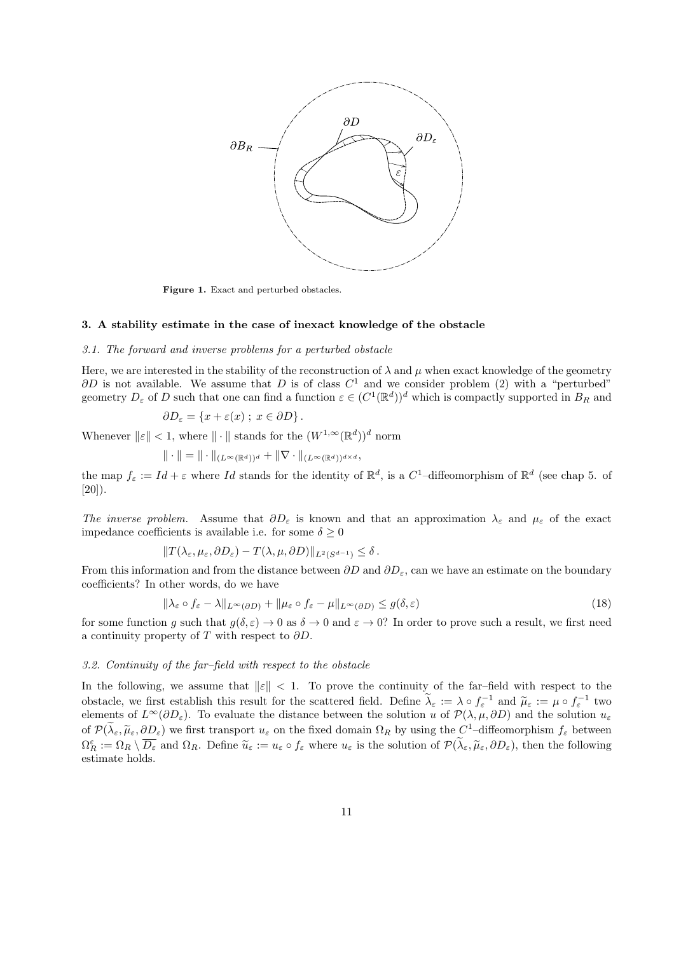

Figure 1. Exact and perturbed obstacles.

#### 3. A stability estimate in the case of inexact knowledge of the obstacle

#### *3.1. The forward and inverse problems for a perturbed obstacle*

Here, we are interested in the stability of the reconstruction of  $\lambda$  and  $\mu$  when exact knowledge of the geometry  $\partial D$  is not available. We assume that D is of class  $C^1$  and we consider problem (2) with a "perturbed" geometry  $D_{\varepsilon}$  of D such that one can find a function  $\varepsilon \in (C^1(\mathbb{R}^d))^d$  which is compactly supported in  $B_R$  and

$$
\partial D_{\varepsilon} = \{x + \varepsilon(x) ; x \in \partial D\}.
$$

Whenever  $||\varepsilon|| < 1$ , where  $|| \cdot ||$  stands for the  $(W^{1,\infty}(\mathbb{R}^d))^d$  norm

$$
\|\cdot\|=\|\cdot\|_{(L^\infty(\mathbb{R}^d))^d}+\|\nabla\cdot\|_{(L^\infty(\mathbb{R}^d))^{d\times d}},
$$

the map  $f_{\varepsilon} := Id + \varepsilon$  where Id stands for the identity of  $\mathbb{R}^d$ , is a C<sup>1</sup>-diffeomorphism of  $\mathbb{R}^d$  (see chap 5. of  $[20]$ ).

*The inverse problem.* Assume that  $\partial D_{\varepsilon}$  is known and that an approximation  $\lambda_{\varepsilon}$  and  $\mu_{\varepsilon}$  of the exact impedance coefficients is available i.e. for some  $\delta \geq 0$ 

$$
||T(\lambda_{\varepsilon}, \mu_{\varepsilon}, \partial D_{\varepsilon}) - T(\lambda, \mu, \partial D)||_{L^2(S^{d-1})} \leq \delta.
$$

From this information and from the distance between  $\partial D$  and  $\partial D_{\varepsilon}$ , can we have an estimate on the boundary coefficients? In other words, do we have

$$
\|\lambda_{\varepsilon} \circ f_{\varepsilon} - \lambda\|_{L^{\infty}(\partial D)} + \|\mu_{\varepsilon} \circ f_{\varepsilon} - \mu\|_{L^{\infty}(\partial D)} \le g(\delta, \varepsilon)
$$
\n(18)

for some function g such that  $g(\delta, \varepsilon) \to 0$  as  $\delta \to 0$  and  $\varepsilon \to 0$ ? In order to prove such a result, we first need a continuity property of T with respect to  $\partial D$ .

# *3.2. Continuity of the far–field with respect to the obstacle*

In the following, we assume that  $\|\varepsilon\| < 1$ . To prove the continuity of the far-field with respect to the obstacle, we first establish this result for the scattered field. Define  $\tilde{\lambda}_{\varepsilon} := \lambda \circ f_{\varepsilon}^{-1}$  and  $\tilde{\mu}_{\varepsilon} := \mu \circ f_{\varepsilon}^{-1}$  two elements of  $L^{\infty}(\partial D_{\varepsilon})$ . To evaluate the distance between the solution u of  $\mathcal{P}(\lambda,\mu,\partial D)$  and the solution  $u_{\varepsilon}$ of  $\mathcal{P}(\lambda_{\varepsilon}, \widetilde{\mu}_{\varepsilon}, \partial D_{\varepsilon})$  we first transport  $u_{\varepsilon}$  on the fixed domain  $\Omega_R$  by using the  $C^1$ -diffeomorphism  $f_{\varepsilon}$  between  $\Omega_{R}^{\varepsilon} := \Omega_{R} \setminus \overline{D_{\varepsilon}}$  and  $\Omega_{R}$ . Define  $\widetilde{u}_{\varepsilon} := u_{\varepsilon} \circ f_{\varepsilon}$  where  $u_{\varepsilon}$  is the solution of  $\mathcal{P}(\lambda_{\varepsilon}, \widetilde{\mu}_{\varepsilon}, \partial D_{\varepsilon})$ , then the following estimate holds.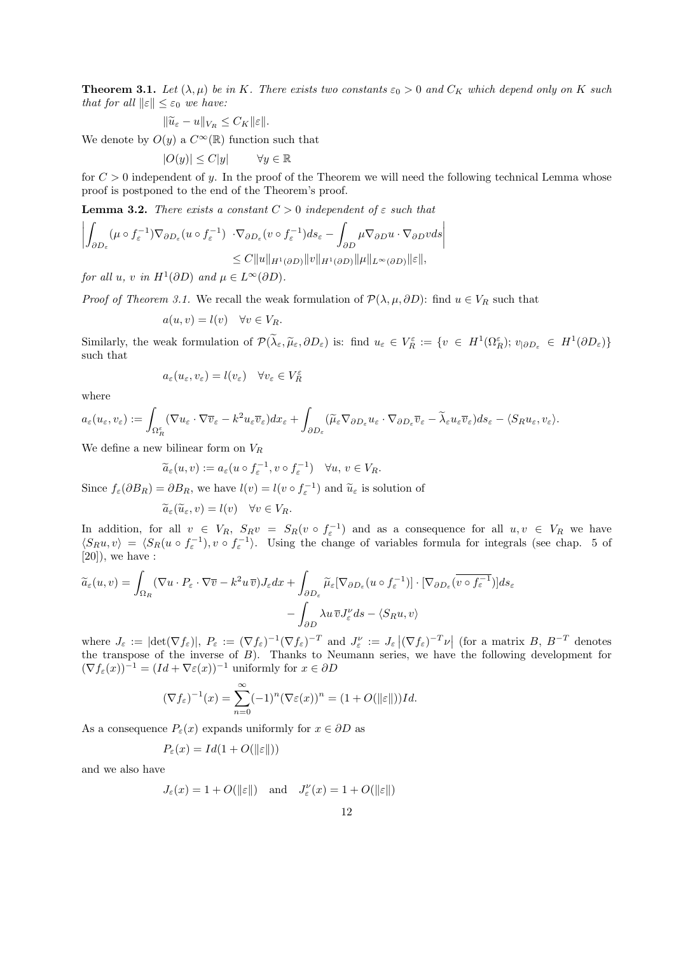**Theorem 3.1.** *Let*  $(\lambda, \mu)$  *be in* K*. There exists two constants*  $\varepsilon_0 > 0$  *and*  $C_K$  *which depend only on* K *such that for all*  $\|\varepsilon\| \leq \varepsilon_0$  *we have:* 

$$
\|\widetilde{u}_{\varepsilon} - u\|_{V_R} \le C_K \|\varepsilon\|.
$$

We denote by  $O(y)$  a  $C^{\infty}(\mathbb{R})$  function such that

$$
|O(y)| \leq C|y| \qquad \forall y \in \mathbb{R}
$$

for  $C > 0$  independent of y. In the proof of the Theorem we will need the following technical Lemma whose proof is postponed to the end of the Theorem's proof.

**Lemma 3.2.** *There exists a constant*  $C > 0$  *independent* of  $\varepsilon$  *such that* 

$$
\left| \int_{\partial D_{\varepsilon}} (\mu \circ f_{\varepsilon}^{-1}) \nabla_{\partial D_{\varepsilon}} (u \circ f_{\varepsilon}^{-1}) \cdot \nabla_{\partial D_{\varepsilon}} (v \circ f_{\varepsilon}^{-1}) ds_{\varepsilon} - \int_{\partial D} \mu \nabla_{\partial D} u \cdot \nabla_{\partial D} v ds \right|
$$
  

$$
\leq C \|u\|_{H^1(\partial D)} \|v\|_{H^1(\partial D)} \| \mu \|_{L^{\infty}(\partial D)} \| \varepsilon \|,
$$

*for all*  $u, v$  *in*  $H^1(\partial D)$  *and*  $\mu \in L^\infty(\partial D)$ *.* 

*Proof of Theorem 3.1.* We recall the weak formulation of  $\mathcal{P}(\lambda, \mu, \partial D)$ : find  $u \in V_R$  such that

$$
a(u, v) = l(v) \quad \forall v \in V_R.
$$

Similarly, the weak formulation of  $\mathcal{P}(\lambda_{\varepsilon}, \tilde{\mu}_{\varepsilon}, \partial D_{\varepsilon})$  is: find  $u_{\varepsilon} \in V_R^{\varepsilon} := \{v \in H^1(\Omega_R^{\varepsilon}); v_{|\partial D_{\varepsilon}} \in H^1(\partial D_{\varepsilon})\}$ such that

$$
a_\varepsilon(u_\varepsilon,v_\varepsilon)=l(v_\varepsilon)\quad\forall v_\varepsilon\in V^\varepsilon_R
$$

where

$$
a_{\varepsilon}(u_{\varepsilon},v_{\varepsilon}) := \int_{\Omega_R^{\varepsilon}} (\nabla u_{\varepsilon} \cdot \nabla \overline{v}_{\varepsilon} - k^2 u_{\varepsilon} \overline{v}_{\varepsilon}) dx_{\varepsilon} + \int_{\partial D_{\varepsilon}} (\widetilde{\mu}_{\varepsilon} \nabla_{\partial D_{\varepsilon}} u_{\varepsilon} \cdot \nabla_{\partial D_{\varepsilon}} \overline{v}_{\varepsilon} - \widetilde{\lambda}_{\varepsilon} u_{\varepsilon} \overline{v}_{\varepsilon}) ds_{\varepsilon} - \langle S_R u_{\varepsilon}, v_{\varepsilon} \rangle.
$$

We define a new bilinear form on  $V_R$ 

$$
\widetilde{a}_{\varepsilon}(u,v) := a_{\varepsilon}(u \circ f_{\varepsilon}^{-1}, v \circ f_{\varepsilon}^{-1}) \quad \forall u, v \in V_R.
$$

Since  $f_{\varepsilon}(\partial B_R) = \partial B_R$ , we have  $l(v) = l(v \circ f_{\varepsilon}^{-1})$  and  $\tilde{u}_{\varepsilon}$  is solution of

$$
\widetilde{a}_{\varepsilon}(\widetilde{u}_{\varepsilon}, v) = l(v) \quad \forall v \in V_R.
$$

In addition, for all  $v \in V_R$ ,  $S_R v = S_R(v \circ f_{\varepsilon}^{-1})$  and as a consequence for all  $u, v \in V_R$  we have  $\langle S_R u, v \rangle = \langle S_R(u \circ f_{\varepsilon}^{-1}), v \circ f_{\varepsilon}^{-1} \rangle$ . Using the change of variables formula for integrals (see chap. 5 of  $[20]$ , we have :

$$
\widetilde{a}_{\varepsilon}(u,v) = \int_{\Omega_R} (\nabla u \cdot P_{\varepsilon} \cdot \nabla \overline{v} - k^2 u \, \overline{v}) J_{\varepsilon} dx + \int_{\partial D_{\varepsilon}} \widetilde{\mu}_{\varepsilon} [\nabla_{\partial D_{\varepsilon}} (u \circ f_{\varepsilon}^{-1})] \cdot [\nabla_{\partial D_{\varepsilon}} (\overline{v \circ f_{\varepsilon}^{-1}})] ds_{\varepsilon} - \int_{\partial D} \lambda u \, \overline{v} J_{\varepsilon}^{\nu} ds - \langle S_R u, v \rangle
$$

where  $J_{\varepsilon} := |\text{det}(\nabla f_{\varepsilon})|$ ,  $P_{\varepsilon} := (\nabla f_{\varepsilon})^{-1} (\nabla f_{\varepsilon})^{-T}$  and  $J_{\varepsilon}^{\nu} := J_{\varepsilon} |(\nabla f_{\varepsilon})^{-T} \nu|$  (for a matrix  $B, B^{-T}$  denotes the transpose of the inverse of B). Thanks to Neumann series, we have the following development for  $(\nabla f_{\varepsilon}(x))^{-1} = (Id + \nabla \varepsilon(x))^{-1}$  uniformly for  $x \in \partial D$ 

$$
(\nabla f_{\varepsilon})^{-1}(x) = \sum_{n=0}^{\infty} (-1)^n (\nabla \varepsilon(x))^n = (1 + O(\|\varepsilon\|))Id.
$$

As a consequence  $P_{\varepsilon}(x)$  expands uniformly for  $x \in \partial D$  as

$$
P_{\varepsilon}(x) = Id(1 + O(\|\varepsilon\|))
$$

and we also have

$$
J_{\varepsilon}(x) = 1 + O(\|\varepsilon\|)
$$
 and  $J_{\varepsilon}^{\nu}(x) = 1 + O(\|\varepsilon\|)$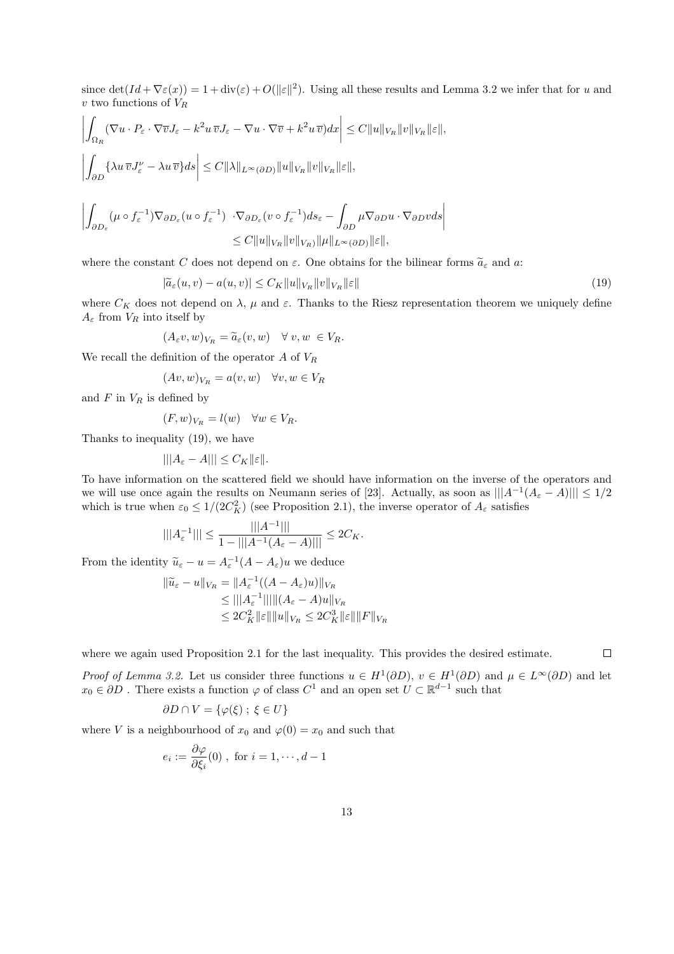since  $\det(Id + \nabla \varepsilon(x)) = 1 + \operatorname{div}(\varepsilon) + O(||\varepsilon||^2)$ . Using all these results and Lemma 3.2 we infer that for u and  $v$  two functions of  $V_R$ 

$$
\left| \int_{\Omega_R} (\nabla u \cdot P_{\varepsilon} \cdot \nabla \overline{v} J_{\varepsilon} - k^2 u \overline{v} J_{\varepsilon} - \nabla u \cdot \nabla \overline{v} + k^2 u \overline{v}) dx \right| \leq C \|u\|_{V_R} \|v\|_{V_R} \|{\varepsilon}\|,
$$
  

$$
\left| \int_{\partial D} \{\lambda u \overline{v} J_{\varepsilon}^{\nu} - \lambda u \overline{v} \} ds \right| \leq C \|\lambda\|_{L^{\infty}(\partial D)} \|u\|_{V_R} \|v\|_{V_R} \|{\varepsilon}\|,
$$
  

$$
\left| \int_{\partial D_{\varepsilon}} (\mu \circ f_{\varepsilon}^{-1}) \nabla_{\partial D_{\varepsilon}} (u \circ f_{\varepsilon}^{-1}) \cdot \nabla_{\partial D_{\varepsilon}} (v \circ f_{\varepsilon}^{-1}) ds_{\varepsilon} - \int_{\partial D} \mu \nabla_{\partial D} u \cdot \nabla_{\partial D} v ds \right|
$$
  

$$
\leq C \|u\|_{V_R} \|v\|_{V_R} \| \mu \|_{L^{\infty}(\partial D)} \|{\varepsilon}\|,
$$

where the constant C does not depend on  $\varepsilon$ . One obtains for the bilinear forms  $\widetilde{a}_{\varepsilon}$  and a:

$$
|\widetilde{a}_{\varepsilon}(u,v) - a(u,v)| \le C_K ||u||_{V_R} ||v||_{V_R} ||\varepsilon|| \tag{19}
$$

where  $C_K$  does not depend on  $\lambda$ ,  $\mu$  and  $\varepsilon$ . Thanks to the Riesz representation theorem we uniquely define  $A_{\varepsilon}$  from  $V_R$  into itself by

$$
(A_{\varepsilon}v,w)_{V_R} = \widetilde{a}_{\varepsilon}(v,w) \quad \forall \ v,w \ \in V_R.
$$

We recall the definition of the operator  $A$  of  $V_R$ 

$$
(Av, w)_{V_R} = a(v, w) \quad \forall v, w \in V_R
$$

and  $F$  in  $V_R$  is defined by

$$
(F, w)_{V_R} = l(w) \quad \forall w \in V_R.
$$

Thanks to inequality (19), we have

$$
\|\|A_{\varepsilon}-A\|\|\leq C_K\|\varepsilon\|.
$$

To have information on the scattered field we should have information on the inverse of the operators and we will use once again the results on Neumann series of [23]. Actually, as soon as  $|||A^{-1}(A_{\varepsilon}-A)||| \leq 1/2$ which is true when  $\varepsilon_0 \leq 1/(2C_K^2)$  (see Proposition 2.1), the inverse operator of  $A_\varepsilon$  satisfies

$$
|||A_{\varepsilon}^{-1}||| \le \frac{|||A^{-1}|||}{1 - |||A^{-1}(A_{\varepsilon} - A)|||} \le 2C_K.
$$

From the identity  $\widetilde{u}_{\varepsilon} - u = A_{\varepsilon}^{-1}(A - A_{\varepsilon})u$  we deduce

$$
\|\widetilde{u}_{\varepsilon} - u\|_{V_R} = \|A_{\varepsilon}^{-1}((A - A_{\varepsilon})u)\|_{V_R}
$$
  
\n
$$
\leq |||A_{\varepsilon}^{-1}|| ||||(A_{\varepsilon} - A)u||_{V_R}
$$
  
\n
$$
\leq 2C_K^2 ||\varepsilon|| ||u||_{V_R} \leq 2C_K^3 ||\varepsilon|| ||F||_{V_R}
$$

where we again used Proposition 2.1 for the last inequality. This provides the desired estimate.

 $\Box$ 

*Proof of Lemma 3.2.* Let us consider three functions  $u \in H^1(\partial D)$ ,  $v \in H^1(\partial D)$  and  $\mu \in L^{\infty}(\partial D)$  and let  $x_0 \in \partial D$ . There exists a function  $\varphi$  of class  $C^1$  and an open set  $U \subset \mathbb{R}^{d-1}$  such that

$$
\partial D \cap V = \{ \varphi(\xi) \; ; \; \xi \in U \}
$$

where V is a neighbourhood of  $x_0$  and  $\varphi(0) = x_0$  and such that

$$
e_i := \frac{\partial \varphi}{\partial \xi_i}(0) , \text{ for } i = 1, \cdots, d-1
$$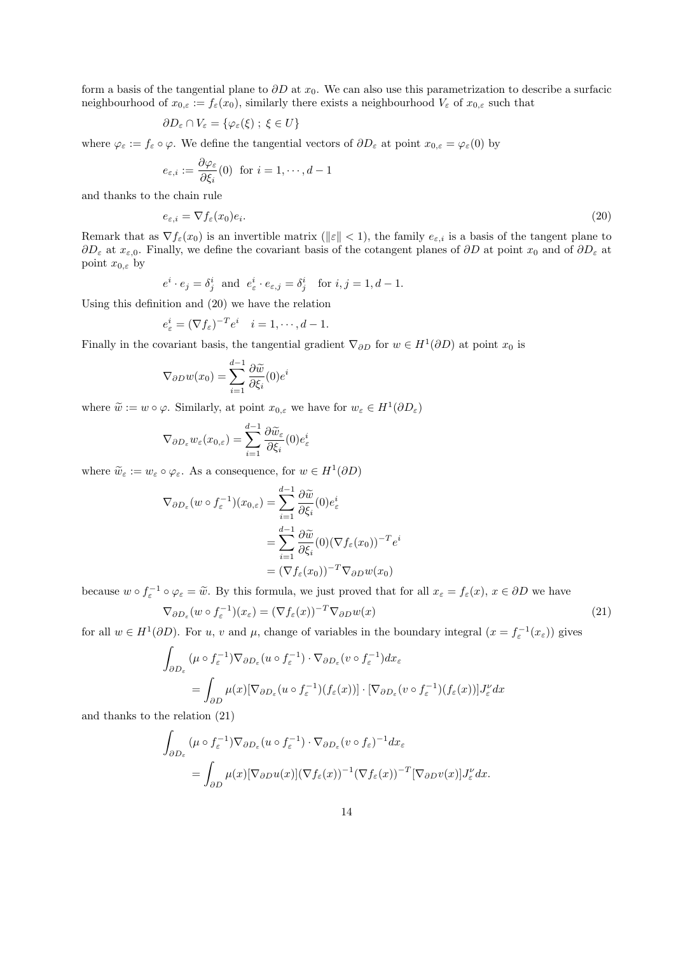form a basis of the tangential plane to  $\partial D$  at  $x_0$ . We can also use this parametrization to describe a surfacic neighbourhood of  $x_{0,\varepsilon} := f_{\varepsilon}(x_0)$ , similarly there exists a neighbourhood  $V_{\varepsilon}$  of  $x_{0,\varepsilon}$  such that

$$
\partial D_{\varepsilon} \cap V_{\varepsilon} = \{ \varphi_{\varepsilon}(\xi) \; ; \; \xi \in U \}
$$

where  $\varphi_{\varepsilon} := f_{\varepsilon} \circ \varphi$ . We define the tangential vectors of  $\partial D_{\varepsilon}$  at point  $x_{0,\varepsilon} = \varphi_{\varepsilon}(0)$  by

$$
e_{\varepsilon,i} := \frac{\partial \varphi_{\varepsilon}}{\partial \xi_i}(0) \text{ for } i = 1, \cdots, d-1
$$

and thanks to the chain rule

$$
e_{\varepsilon,i} = \nabla f_{\varepsilon}(x_0)e_i. \tag{20}
$$

Remark that as  $\nabla f_{\varepsilon}(x_0)$  is an invertible matrix ( $||\varepsilon|| < 1$ ), the family  $e_{\varepsilon,i}$  is a basis of the tangent plane to  $\partial D_{\varepsilon}$  at  $x_{\varepsilon,0}$ . Finally, we define the covariant basis of the cotangent planes of  $\partial D$  at point  $x_0$  and of  $\partial D_{\varepsilon}$  at point  $x_{0,\varepsilon}$  by

$$
e^i \cdot e_j = \delta^i_j
$$
 and  $e^i_{\varepsilon} \cdot e_{\varepsilon,j} = \delta^i_j$  for  $i, j = 1, d - 1$ .

Using this definition and (20) we have the relation

$$
e_{\varepsilon}^{i} = (\nabla f_{\varepsilon})^{-T} e^{i} \quad i = 1, \cdots, d - 1.
$$

Finally in the covariant basis, the tangential gradient  $\nabla_{\partial D}$  for  $w \in H^1(\partial D)$  at point  $x_0$  is

$$
\nabla_{\partial D} w(x_0) = \sum_{i=1}^{d-1} \frac{\partial \widetilde{w}}{\partial \xi_i}(0) e^i
$$

where  $\tilde{w} := w \circ \varphi$ . Similarly, at point  $x_{0,\varepsilon}$  we have for  $w_{\varepsilon} \in H^1(\partial D_{\varepsilon})$ 

$$
\nabla_{\partial D_{\varepsilon}} w_{\varepsilon}(x_{0,\varepsilon}) = \sum_{i=1}^{d-1} \frac{\partial \widetilde{w}_{\varepsilon}}{\partial \xi_i}(0) e_{\varepsilon}^i
$$

where  $\widetilde{w}_{\varepsilon} := w_{\varepsilon} \circ \varphi_{\varepsilon}$ . As a consequence, for  $w \in H^1(\partial D)$ 

$$
\nabla_{\partial D_{\varepsilon}}(w \circ f_{\varepsilon}^{-1})(x_{0,\varepsilon}) = \sum_{i=1}^{d-1} \frac{\partial \widetilde{w}}{\partial \xi_i}(0) e_{\varepsilon}^i
$$
  
= 
$$
\sum_{i=1}^{d-1} \frac{\partial \widetilde{w}}{\partial \xi_i}(0) (\nabla f_{\varepsilon}(x_0))^{-T} e^i
$$
  
= 
$$
(\nabla f_{\varepsilon}(x_0))^{-T} \nabla_{\partial D} w(x_0)
$$

because  $w \circ f_{\varepsilon}^{-1} \circ \varphi_{\varepsilon} = \tilde{w}$ . By this formula, we just proved that for all  $x_{\varepsilon} = f_{\varepsilon}(x)$ ,  $x \in \partial D$  we have

$$
\nabla_{\partial D_{\varepsilon}}(w \circ f_{\varepsilon}^{-1})(x_{\varepsilon}) = (\nabla f_{\varepsilon}(x))^{-T} \nabla_{\partial D} w(x)
$$
\n(21)

for all  $w \in H^1(\partial D)$ . For u, v and  $\mu$ , change of variables in the boundary integral  $(x = f^{-1}_\varepsilon(x_\varepsilon))$  gives

$$
\int_{\partial D_{\varepsilon}} (\mu \circ f_{\varepsilon}^{-1}) \nabla_{\partial D_{\varepsilon}} (u \circ f_{\varepsilon}^{-1}) \cdot \nabla_{\partial D_{\varepsilon}} (v \circ f_{\varepsilon}^{-1}) dx_{\varepsilon}
$$
\n
$$
= \int_{\partial D} \mu(x) [\nabla_{\partial D_{\varepsilon}} (u \circ f_{\varepsilon}^{-1})(f_{\varepsilon}(x))] \cdot [\nabla_{\partial D_{\varepsilon}} (v \circ f_{\varepsilon}^{-1})(f_{\varepsilon}(x))] J_{\varepsilon}^{\nu} dx
$$

and thanks to the relation (21)

$$
\int_{\partial D_{\varepsilon}} (\mu \circ f_{\varepsilon}^{-1}) \nabla_{\partial D_{\varepsilon}} (u \circ f_{\varepsilon}^{-1}) \cdot \nabla_{\partial D_{\varepsilon}} (v \circ f_{\varepsilon})^{-1} dx_{\varepsilon}
$$
\n
$$
= \int_{\partial D} \mu(x) [\nabla_{\partial D} u(x)] (\nabla f_{\varepsilon}(x))^{-1} (\nabla f_{\varepsilon}(x))^{-T} [\nabla_{\partial D} v(x)] J_{\varepsilon}^{\nu} dx.
$$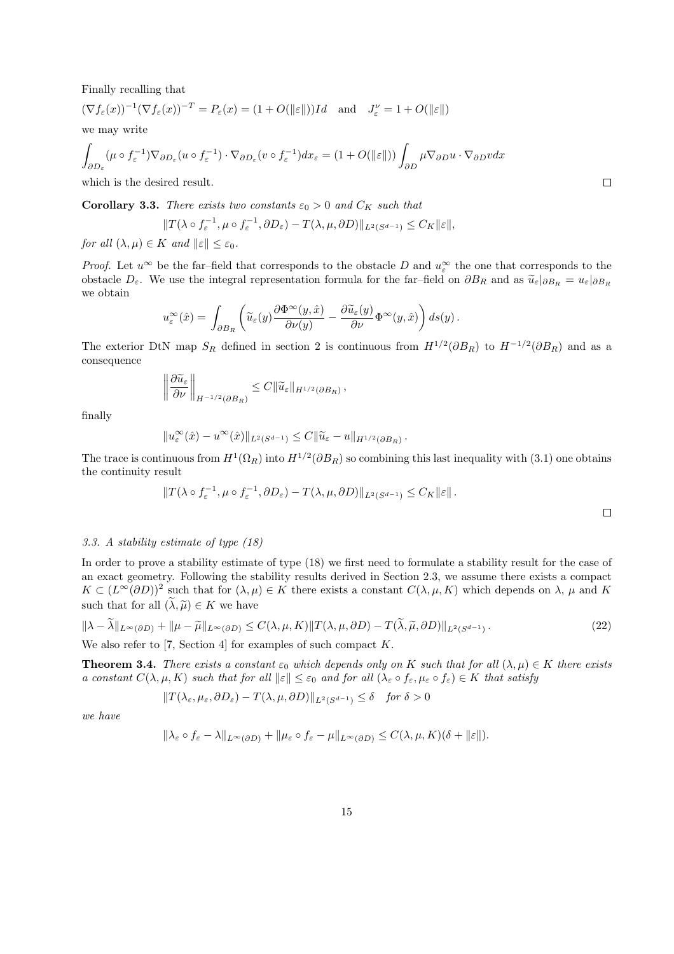Finally recalling that

$$
(\nabla f_{\varepsilon}(x))^{-1}(\nabla f_{\varepsilon}(x))^{-T} = P_{\varepsilon}(x) = (1 + O(\|\varepsilon\|))Id \text{ and } J_{\varepsilon}^{\nu} = 1 + O(\|\varepsilon\|)
$$

we may write

$$
\int_{\partial D_{\varepsilon}} (\mu \circ f_{\varepsilon}^{-1}) \nabla_{\partial D_{\varepsilon}} (u \circ f_{\varepsilon}^{-1}) \cdot \nabla_{\partial D_{\varepsilon}} (v \circ f_{\varepsilon}^{-1}) dx_{\varepsilon} = (1 + O(\|\varepsilon\|)) \int_{\partial D} \mu \nabla_{\partial D} u \cdot \nabla_{\partial D} v dx
$$

which is the desired result.

**Corollary 3.3.** *There exists two constants*  $\varepsilon_0 > 0$  *and*  $C_K$  *such that* 

$$
||T(\lambda \circ f_{\varepsilon}^{-1}, \mu \circ f_{\varepsilon}^{-1}, \partial D_{\varepsilon}) - T(\lambda, \mu, \partial D)||_{L^{2}(S^{d-1})} \leq C_{K} ||\varepsilon||,
$$

*for all*  $(\lambda, \mu) \in K$  *and*  $\|\varepsilon\| \leq \varepsilon_0$ *.* 

*Proof.* Let  $u^{\infty}$  be the far–field that corresponds to the obstacle D and  $u_{\varepsilon}^{\infty}$  the one that corresponds to the obstacle  $D_{\varepsilon}$ . We use the integral representation formula for the far–field on  $\partial B_R$  and as  $\tilde{u}_{\varepsilon}|_{\partial B_R} = u_{\varepsilon}|_{\partial B_R}$ we obtain

$$
u_\varepsilon^\infty(\hat x)=\,\int_{\partial B_R} \left(\widetilde u_\varepsilon(y)\frac{\partial\Phi^\infty(y,\hat x)}{\partial\nu(y)}-\frac{\partial \widetilde u_\varepsilon(y)}{\partial\nu}\Phi^\infty(y,\hat x)\right)ds(y)\,.
$$

The exterior DtN map  $S_R$  defined in section 2 is continuous from  $H^{1/2}(\partial B_R)$  to  $H^{-1/2}(\partial B_R)$  and as a consequence

$$
\left\|\frac{\partial \widetilde{u}_{\varepsilon}}{\partial \nu}\right\|_{H^{-1/2}(\partial B_R)} \leq C \|\widetilde{u}_{\varepsilon}\|_{H^{1/2}(\partial B_R)},
$$

finally

$$
||u_{\varepsilon}^{\infty}(\hat{x}) - u^{\infty}(\hat{x})||_{L^{2}(S^{d-1})} \leq C ||\widetilde{u}_{\varepsilon} - u||_{H^{1/2}(\partial B_R)}.
$$

The trace is continuous from  $H^1(\Omega_R)$  into  $H^{1/2}(\partial B_R)$  so combining this last inequality with  $(3.1)$  one obtains the continuity result

$$
||T(\lambda \circ f_{\varepsilon}^{-1}, \mu \circ f_{\varepsilon}^{-1}, \partial D_{\varepsilon}) - T(\lambda, \mu, \partial D)||_{L^2(S^{d-1})} \leq C_K ||\varepsilon||.
$$

#### *3.3. A stability estimate of type (18)*

In order to prove a stability estimate of type (18) we first need to formulate a stability result for the case of an exact geometry. Following the stability results derived in Section 2.3, we assume there exists a compact  $K \subset (L^{\infty}(\partial D))^2$  such that for  $(\lambda, \mu) \in K$  there exists a constant  $C(\lambda, \mu, K)$  which depends on  $\lambda$ ,  $\mu$  and  $K$ such that for all  $(\widetilde{\lambda}, \widetilde{\mu}) \in K$  we have

$$
\|\lambda - \widetilde{\lambda}\|_{L^{\infty}(\partial D)} + \|\mu - \widetilde{\mu}\|_{L^{\infty}(\partial D)} \le C(\lambda, \mu, K) \|T(\lambda, \mu, \partial D) - T(\widetilde{\lambda}, \widetilde{\mu}, \partial D)\|_{L^{2}(S^{d-1})}.
$$
\n(22)

We also refer to [7, Section 4] for examples of such compact  $K$ .

**Theorem 3.4.** *There exists a constant*  $\varepsilon_0$  *which depends only on* K *such that for all*  $(\lambda, \mu) \in K$  *there exists a constant*  $C(\lambda, \mu, K)$  *such that for all*  $\|\varepsilon\| \leq \varepsilon_0$  *and for all*  $(\lambda_{\varepsilon} \circ f_{\varepsilon}, \mu_{\varepsilon} \circ f_{\varepsilon}) \in K$  *that satisfy* 

$$
||T(\lambda_{\varepsilon}, \mu_{\varepsilon}, \partial D_{\varepsilon}) - T(\lambda, \mu, \partial D)||_{L^{2}(S^{d-1})} \leq \delta \quad \text{for } \delta > 0
$$

*we have*

$$
\|\lambda_{\varepsilon}\circ f_{\varepsilon}-\lambda\|_{L^{\infty}(\partial D)}+\|\mu_{\varepsilon}\circ f_{\varepsilon}-\mu\|_{L^{\infty}(\partial D)}\leq C(\lambda,\mu,K)(\delta+\|\varepsilon\|).
$$

 $\Box$ 

 $\Box$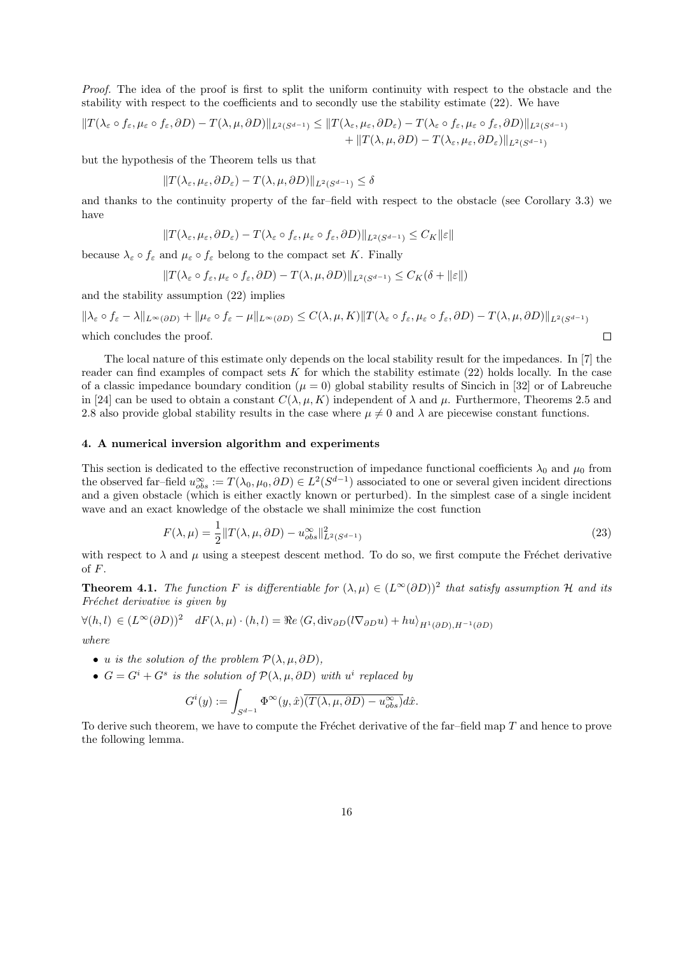*Proof.* The idea of the proof is first to split the uniform continuity with respect to the obstacle and the stability with respect to the coefficients and to secondly use the stability estimate (22). We have

$$
||T(\lambda_{\varepsilon} \circ f_{\varepsilon}, \mu_{\varepsilon} \circ f_{\varepsilon}, \partial D) - T(\lambda, \mu, \partial D)||_{L^{2}(S^{d-1})} \leq ||T(\lambda_{\varepsilon}, \mu_{\varepsilon}, \partial D_{\varepsilon}) - T(\lambda_{\varepsilon} \circ f_{\varepsilon}, \mu_{\varepsilon} \circ f_{\varepsilon}, \partial D)||_{L^{2}(S^{d-1})} + ||T(\lambda, \mu, \partial D) - T(\lambda_{\varepsilon}, \mu_{\varepsilon}, \partial D_{\varepsilon})||_{L^{2}(S^{d-1})}
$$

but the hypothesis of the Theorem tells us that

$$
||T(\lambda_{\varepsilon}, \mu_{\varepsilon}, \partial D_{\varepsilon}) - T(\lambda, \mu, \partial D)||_{L^2(S^{d-1})} \le \delta
$$

and thanks to the continuity property of the far–field with respect to the obstacle (see Corollary 3.3) we have

$$
||T(\lambda_{\varepsilon},\mu_{\varepsilon},\partial D_{\varepsilon}) - T(\lambda_{\varepsilon} \circ f_{\varepsilon},\mu_{\varepsilon} \circ f_{\varepsilon},\partial D)||_{L^2(S^{d-1})} \leq C_K ||\varepsilon||
$$

because  $\lambda_{\varepsilon} \circ f_{\varepsilon}$  and  $\mu_{\varepsilon} \circ f_{\varepsilon}$  belong to the compact set K. Finally

$$
||T(\lambda_{\varepsilon} \circ f_{\varepsilon}, \mu_{\varepsilon} \circ f_{\varepsilon}, \partial D) - T(\lambda, \mu, \partial D)||_{L^{2}(S^{d-1})} \leq C_{K}(\delta + ||\varepsilon||)
$$

and the stability assumption (22) implies

$$
\|\lambda_{\varepsilon} \circ f_{\varepsilon} - \lambda\|_{L^{\infty}(\partial D)} + \|\mu_{\varepsilon} \circ f_{\varepsilon} - \mu\|_{L^{\infty}(\partial D)} \leq C(\lambda, \mu, K) \|T(\lambda_{\varepsilon} \circ f_{\varepsilon}, \mu_{\varepsilon} \circ f_{\varepsilon}, \partial D) - T(\lambda, \mu, \partial D)\|_{L^{2}(S^{d-1})}
$$
  
which concludes the proof.

The local nature of this estimate only depends on the local stability result for the impedances. In [7] the reader can find examples of compact sets  $K$  for which the stability estimate  $(22)$  holds locally. In the case of a classic impedance boundary condition  $(\mu = 0)$  global stability results of Sincich in [32] or of Labreuche in [24] can be used to obtain a constant  $C(\lambda, \mu, K)$  independent of  $\lambda$  and  $\mu$ . Furthermore, Theorems 2.5 and 2.8 also provide global stability results in the case where  $\mu \neq 0$  and  $\lambda$  are piecewise constant functions.

### 4. A numerical inversion algorithm and experiments

This section is dedicated to the effective reconstruction of impedance functional coefficients  $\lambda_0$  and  $\mu_0$  from the observed far–field  $u_{obs}^{\infty} := T(\lambda_0, \mu_0, \partial D) \in L^2(S^{d-1})$  associated to one or several given incident directions and a given obstacle (which is either exactly known or perturbed). In the simplest case of a single incident wave and an exact knowledge of the obstacle we shall minimize the cost function

$$
F(\lambda, \mu) = \frac{1}{2} \| T(\lambda, \mu, \partial D) - u_{obs}^{\infty} \|_{L^2(S^{d-1})}^2
$$
\n(23)

with respect to  $\lambda$  and  $\mu$  using a steepest descent method. To do so, we first compute the Fréchet derivative of  $F$ .

**Theorem 4.1.** *The function*  $F$  *is differentiable for*  $(\lambda, \mu) \in (L^{\infty}(\partial D))^2$  *that satisfy assumption*  $H$  *and its Fréchet derivative is given by* 

$$
\forall (h,l) \in (L^{\infty}(\partial D))^2 \quad dF(\lambda,\mu) \cdot (h,l) = \Re e \langle G, \text{div}_{\partial D}(l\nabla_{\partial D}u) + hu \rangle_{H^1(\partial D), H^{-1}(\partial D)}
$$

*where*

- u *is the solution of the problem*  $\mathcal{P}(\lambda, \mu, \partial D)$ ,
- $\bullet$  *G* = *G*<sup>*i*</sup> + *G*<sup>*s*</sup> *is the solution of*  $\mathcal{P}(\lambda, \mu, \partial D)$  *with u<sup><i>i*</sup> replaced by

$$
G^{i}(y) := \int_{S^{d-1}} \Phi^{\infty}(y, \hat{x}) \overline{(T(\lambda, \mu, \partial D) - u_{obs}^{\infty})} d\hat{x}.
$$

To derive such theorem, we have to compute the Fréchet derivative of the far-field map  $T$  and hence to prove the following lemma.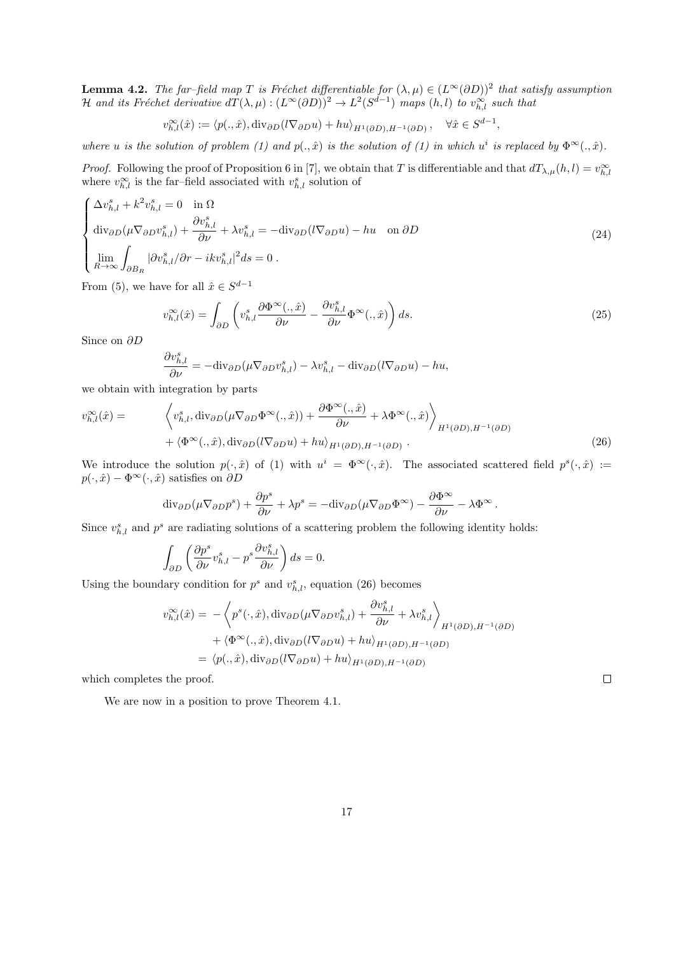**Lemma 4.2.** *The far–field map*  $T$  *is Fréchet differentiable for*  $(\lambda, \mu) \in (L^{\infty}(\partial D))^2$  *that satisfy assumption*  $H$  *and its Fréchet derivative*  $dT(\lambda, \mu) : (L^{\infty}(\partial D))^2 \to L^2(S^{d-1})$  *maps*  $(h, l)$  *to*  $v_{h, l}^{\infty}$  *such that* 

$$
v_{h,l}^{\infty}(\hat{x}) := \langle p(.,\hat{x}), \operatorname{div}_{\partial D}(l\nabla_{\partial D}u) + hu \rangle_{H^1(\partial D), H^{-1}(\partial D)}, \quad \forall \hat{x} \in S^{d-1},
$$

*where u is the solution of problem* (1) and  $p(.,\hat{x})$  *is the solution of* (1) *in which*  $u^i$  *is replaced by*  $\Phi^{\infty}(.,\hat{x})$ *.* 

*Proof.* Following the proof of Proposition 6 in [7], we obtain that T is differentiable and that  $dT_{\lambda,\mu}(h,l) = v_{h,l}^{\infty}$ where  $v_{h,l}^{\infty}$  is the far–field associated with  $v_{h,l}^s$  solution of

$$
\begin{cases}\n\Delta v_{h,l}^{s} + k^{2} v_{h,l}^{s} = 0 & \text{in } \Omega \\
\text{div}_{\partial D}(\mu \nabla_{\partial D} v_{h,l}^{s}) + \frac{\partial v_{h,l}^{s}}{\partial \nu} + \lambda v_{h,l}^{s} = -\text{div}_{\partial D}(l \nabla_{\partial D} u) - hu & \text{on } \partial D \\
\lim_{R \to \infty} \int_{\partial B_{R}} |\partial v_{h,l}^{s}| \partial r - ik v_{h,l}^{s}|^{2} ds = 0 .\n\end{cases}
$$
\n(24)

From (5), we have for all  $\hat{x} \in S^{d-1}$ 

$$
v_{h,l}^{\infty}(\hat{x}) = \int_{\partial D} \left( v_{h,l}^{s} \frac{\partial \Phi^{\infty}(.,\hat{x})}{\partial \nu} - \frac{\partial v_{h,l}^{s}}{\partial \nu} \Phi^{\infty}(.,\hat{x}) \right) ds.
$$
 (25)

Since on  $\partial D$ 

$$
\frac{\partial v_{h,l}^s}{\partial \nu} = -{\rm div}_{\partial D}(\mu \nabla_{\partial D} v_{h,l}^s) - \lambda v_{h,l}^s - {\rm div}_{\partial D}(l \nabla_{\partial D} u) - hu,
$$

we obtain with integration by parts

$$
v_{h,l}^{\infty}(\hat{x}) = \left\langle v_{h,l}^{s}, \text{div}_{\partial D}(\mu \nabla_{\partial D} \Phi^{\infty}(., \hat{x})) + \frac{\partial \Phi^{\infty}(., \hat{x})}{\partial \nu} + \lambda \Phi^{\infty}(., \hat{x}) \right\rangle_{H^{1}(\partial D), H^{-1}(\partial D)} + \left\langle \Phi^{\infty}(., \hat{x}), \text{div}_{\partial D}(l \nabla_{\partial D} u) + hu \right\rangle_{H^{1}(\partial D), H^{-1}(\partial D)}.
$$
\n(26)

We introduce the solution  $p(\cdot,\hat{x})$  of (1) with  $u^i = \Phi^{\infty}(\cdot,\hat{x})$ . The associated scattered field  $p^s(\cdot,\hat{x}) :=$  $p(\cdot, \hat{x}) - \Phi^{\infty}(\cdot, \hat{x})$  satisfies on  $\partial D$ 

$$
\mathrm{div}_{\partial D}(\mu \nabla_{\partial D} p^s) + \frac{\partial p^s}{\partial \nu} + \lambda p^s = -\mathrm{div}_{\partial D}(\mu \nabla_{\partial D} \Phi^\infty) - \frac{\partial \Phi^\infty}{\partial \nu} - \lambda \Phi^\infty.
$$

Since  $v_{h,l}^s$  and  $p^s$  are radiating solutions of a scattering problem the following identity holds:

$$
\int_{\partial D} \left( \frac{\partial p^s}{\partial \nu} v_{h,l}^s - p^s \frac{\partial v_{h,l}^s}{\partial \nu} \right) ds = 0.
$$

Using the boundary condition for  $p^s$  and  $v_{h,l}^s$ , equation (26) becomes

$$
v_{h,l}^{\infty}(\hat{x}) = -\left\langle p^{s}(\cdot,\hat{x}), \text{div}_{\partial D}(\mu \nabla_{\partial D} v_{h,l}^{s}) + \frac{\partial v_{h,l}^{s}}{\partial \nu} + \lambda v_{h,l}^{s} \right\rangle_{H^{1}(\partial D), H^{-1}(\partial D)}
$$

$$
+ \left\langle \Phi^{\infty}(\cdot,\hat{x}), \text{div}_{\partial D}(l \nabla_{\partial D} u) + hu \right\rangle_{H^{1}(\partial D), H^{-1}(\partial D)}
$$

$$
= \left\langle p(\cdot,\hat{x}), \text{div}_{\partial D}(l \nabla_{\partial D} u) + hu \right\rangle_{H^{1}(\partial D), H^{-1}(\partial D)}
$$

which completes the proof.

We are now in a position to prove Theorem 4.1.

 $\Box$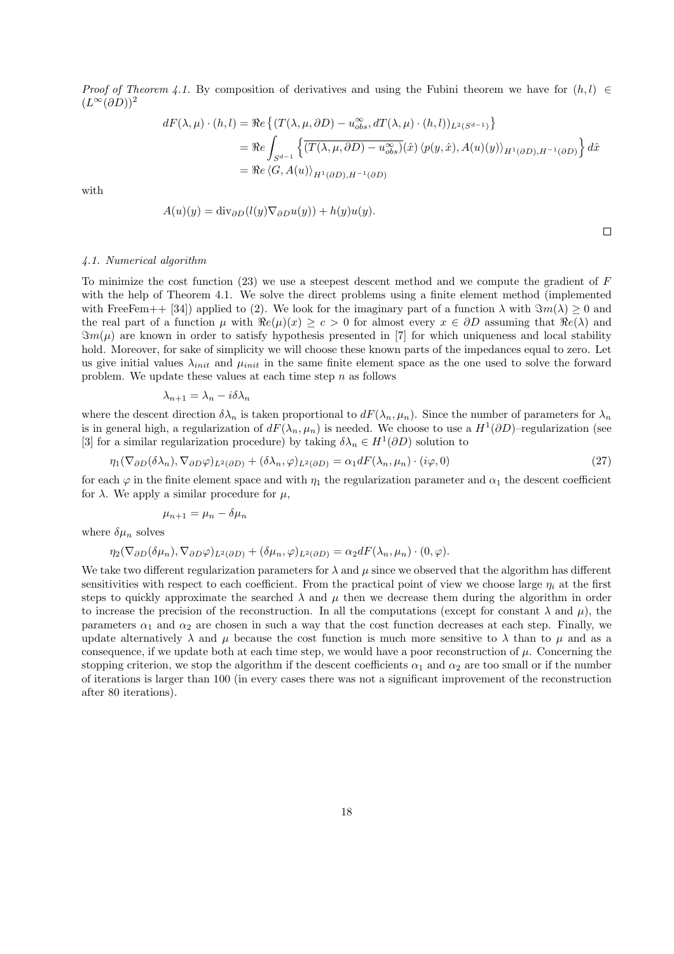*Proof of Theorem 4.1.* By composition of derivatives and using the Fubini theorem we have for  $(h, l) \in$  $(L^{\infty}(\partial D))^2$ 

$$
dF(\lambda, \mu) \cdot (h, l) = \Re e \left\{ (T(\lambda, \mu, \partial D) - u_{obs}^{\infty}, dT(\lambda, \mu) \cdot (h, l))_{L^2(S^{d-1})} \right\}
$$
  
= 
$$
\Re e \int_{S^{d-1}} \left\{ \overline{(T(\lambda, \mu, \partial D) - u_{obs}^{\infty})}(\hat{x}) \langle p(y, \hat{x}), A(u)(y) \rangle_{H^1(\partial D), H^{-1}(\partial D)} \right\} d\hat{x}
$$
  
= 
$$
\Re e \langle G, A(u) \rangle_{H^1(\partial D), H^{-1}(\partial D)}
$$

with

$$
A(u)(y) = \text{div}_{\partial D}(l(y)\nabla_{\partial D}u(y)) + h(y)u(y).
$$

 $\Box$ 

#### *4.1. Numerical algorithm*

To minimize the cost function (23) we use a steepest descent method and we compute the gradient of F with the help of Theorem 4.1. We solve the direct problems using a finite element method (implemented with FreeFem++ [34]) applied to (2). We look for the imaginary part of a function  $\lambda$  with  $\Im m(\lambda) \geq 0$  and the real part of a function  $\mu$  with  $\Re$ e $(\mu)(x) \geq c > 0$  for almost every  $x \in \partial D$  assuming that  $\Re$ e $(\lambda)$  and  $\Im m(\mu)$  are known in order to satisfy hypothesis presented in [7] for which uniqueness and local stability hold. Moreover, for sake of simplicity we will choose these known parts of the impedances equal to zero. Let us give initial values  $\lambda_{init}$  and  $\mu_{init}$  in the same finite element space as the one used to solve the forward problem. We update these values at each time step  $n$  as follows

$$
\lambda_{n+1} = \lambda_n - i\delta\lambda_n
$$

where the descent direction  $\delta \lambda_n$  is taken proportional to  $dF(\lambda_n, \mu_n)$ . Since the number of parameters for  $\lambda_n$ is in general high, a regularization of  $dF(\lambda_n, \mu_n)$  is needed. We choose to use a  $H^1(\partial D)$ -regularization (see [3] for a similar regularization procedure) by taking  $\delta \lambda_n \in H^1(\partial D)$  solution to

$$
\eta_1(\nabla_{\partial D}(\delta \lambda_n), \nabla_{\partial D} \varphi)_{L^2(\partial D)} + (\delta \lambda_n, \varphi)_{L^2(\partial D)} = \alpha_1 dF(\lambda_n, \mu_n) \cdot (i\varphi, 0)
$$
\n(27)

for each  $\varphi$  in the finite element space and with  $\eta_1$  the regularization parameter and  $\alpha_1$  the descent coefficient for  $\lambda$ . We apply a similar procedure for  $\mu$ ,

$$
\mu_{n+1} = \mu_n - \delta \mu_n
$$

where  $\delta \mu_n$  solves

$$
\eta_2(\nabla_{\partial D}(\delta \mu_n), \nabla_{\partial D} \varphi)_{L^2(\partial D)} + (\delta \mu_n, \varphi)_{L^2(\partial D)} = \alpha_2 dF(\lambda_n, \mu_n) \cdot (0, \varphi).
$$

We take two different regularization parameters for  $\lambda$  and  $\mu$  since we observed that the algorithm has different sensitivities with respect to each coefficient. From the practical point of view we choose large  $\eta_i$  at the first steps to quickly approximate the searched  $\lambda$  and  $\mu$  then we decrease them during the algorithm in order to increase the precision of the reconstruction. In all the computations (except for constant  $\lambda$  and  $\mu$ ), the parameters  $\alpha_1$  and  $\alpha_2$  are chosen in such a way that the cost function decreases at each step. Finally, we update alternatively  $\lambda$  and  $\mu$  because the cost function is much more sensitive to  $\lambda$  than to  $\mu$  and as a consequence, if we update both at each time step, we would have a poor reconstruction of  $\mu$ . Concerning the stopping criterion, we stop the algorithm if the descent coefficients  $\alpha_1$  and  $\alpha_2$  are too small or if the number of iterations is larger than 100 (in every cases there was not a significant improvement of the reconstruction after 80 iterations).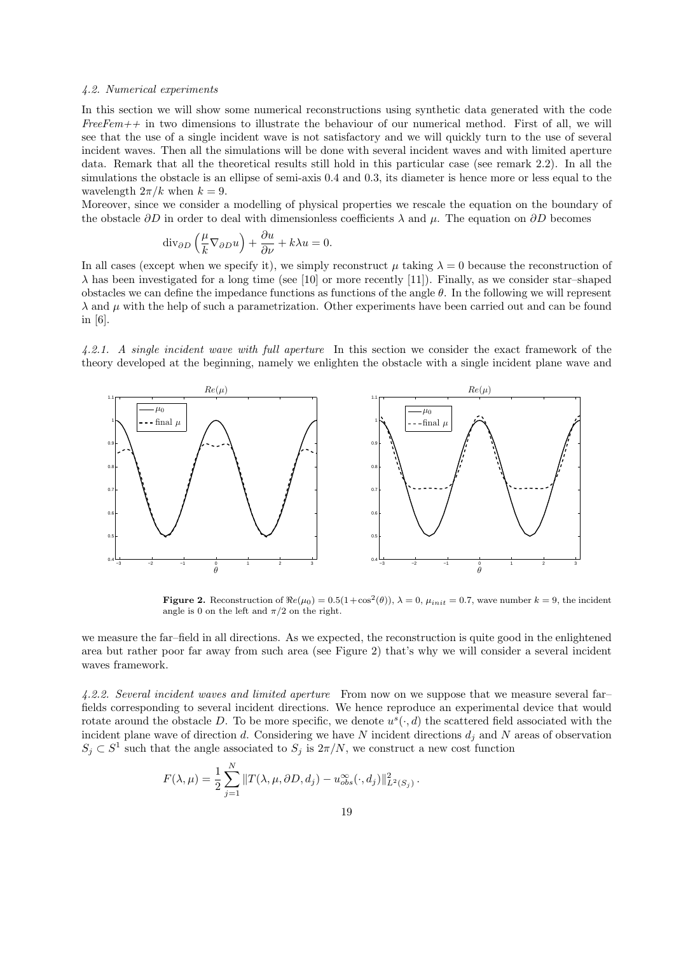## *4.2. Numerical experiments*

In this section we will show some numerical reconstructions using synthetic data generated with the code *FreeFem++* in two dimensions to illustrate the behaviour of our numerical method. First of all, we will see that the use of a single incident wave is not satisfactory and we will quickly turn to the use of several incident waves. Then all the simulations will be done with several incident waves and with limited aperture data. Remark that all the theoretical results still hold in this particular case (see remark 2.2). In all the simulations the obstacle is an ellipse of semi-axis 0.4 and 0.3, its diameter is hence more or less equal to the wavelength  $2\pi/k$  when  $k = 9$ .

Moreover, since we consider a modelling of physical properties we rescale the equation on the boundary of the obstacle  $\partial D$  in order to deal with dimensionless coefficients  $\lambda$  and  $\mu$ . The equation on  $\partial D$  becomes

$$
\mathrm{div}_{\partial D}\left(\frac{\mu}{k}\nabla_{\partial D}u\right) + \frac{\partial u}{\partial \nu} + k\lambda u = 0.
$$

In all cases (except when we specify it), we simply reconstruct  $\mu$  taking  $\lambda = 0$  because the reconstruction of  $\lambda$  has been investigated for a long time (see [10] or more recently [11]). Finally, as we consider star–shaped obstacles we can define the impedance functions as functions of the angle  $\theta$ . In the following we will represent  $\lambda$  and  $\mu$  with the help of such a parametrization. Other experiments have been carried out and can be found in [6].

*4.2.1. A single incident wave with full aperture* In this section we consider the exact framework of the theory developed at the beginning, namely we enlighten the obstacle with a single incident plane wave and



**Figure 2.** Reconstruction of  $\Re e(\mu_0) = 0.5(1 + \cos^2(\theta))$ ,  $\lambda = 0$ ,  $\mu_{init} = 0.7$ , wave number  $k = 9$ , the incident angle is 0 on the left and  $\pi/2$  on the right.

we measure the far–field in all directions. As we expected, the reconstruction is quite good in the enlightened area but rather poor far away from such area (see Figure 2) that's why we will consider a several incident waves framework.

*4.2.2. Several incident waves and limited aperture* From now on we suppose that we measure several far– fields corresponding to several incident directions. We hence reproduce an experimental device that would rotate around the obstacle D. To be more specific, we denote  $u^s(\cdot, d)$  the scattered field associated with the incident plane wave of direction d. Considering we have N incident directions  $d_j$  and N areas of observation  $S_j \subset S^1$  such that the angle associated to  $S_j$  is  $2\pi/N$ , we construct a new cost function

$$
F(\lambda, \mu) = \frac{1}{2} \sum_{j=1}^{N} ||T(\lambda, \mu, \partial D, d_j) - u_{obs}^{\infty}(\cdot, d_j)||_{L^2(S_j)}^2.
$$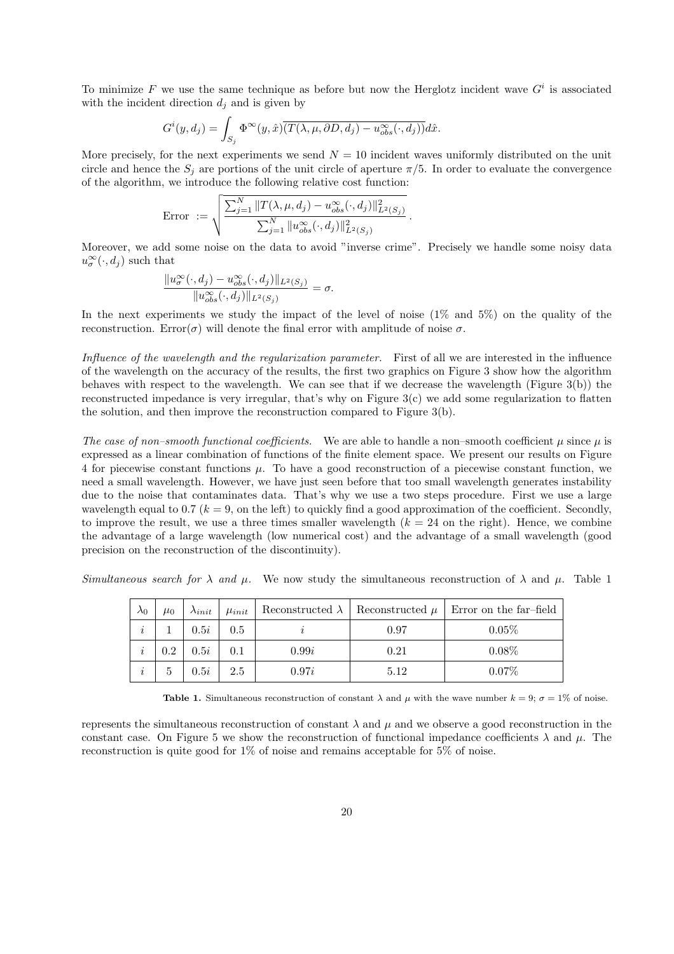To minimize F we use the same technique as before but now the Herglotz incident wave  $G^i$  is associated with the incident direction  $d_i$  and is given by

$$
G^{i}(y, d_{j}) = \int_{S_{j}} \Phi^{\infty}(y, \hat{x}) \overline{(T(\lambda, \mu, \partial D, d_{j}) - u_{obs}^{\infty}(\cdot, d_{j}))} d\hat{x}.
$$

More precisely, for the next experiments we send  $N = 10$  incident waves uniformly distributed on the unit circle and hence the  $S_i$  are portions of the unit circle of aperture  $\pi/5$ . In order to evaluate the convergence of the algorithm, we introduce the following relative cost function:

$$
\text{Error } := \sqrt{\frac{\sum_{j=1}^{N} \|T(\lambda, \mu, d_j) - u_{obs}^{\infty}(\cdot, d_j)\|_{L^2(S_j)}^2}{\sum_{j=1}^{N} \|u_{obs}^{\infty}(\cdot, d_j)\|_{L^2(S_j)}^2}}
$$

Moreover, we add some noise on the data to avoid "inverse crime". Precisely we handle some noisy data  $u_{\sigma}^{\infty}(\cdot, d_j)$  such that

.

$$
\frac{\|u^{\infty}_{\sigma}(\cdot,d_j)-u^{\infty}_{obs}(\cdot,d_j)\|_{L^2(S_j)}}{\|u^{\infty}_{obs}(\cdot,d_j)\|_{L^2(S_j)}}=\sigma.
$$

In the next experiments we study the impact of the level of noise (1% and 5%) on the quality of the reconstruction. Error(σ) will denote the final error with amplitude of noise  $\sigma$ .

*Influence of the wavelength and the regularization parameter.* First of all we are interested in the influence of the wavelength on the accuracy of the results, the first two graphics on Figure 3 show how the algorithm behaves with respect to the wavelength. We can see that if we decrease the wavelength (Figure 3(b)) the reconstructed impedance is very irregular, that's why on Figure 3(c) we add some regularization to flatten the solution, and then improve the reconstruction compared to Figure 3(b).

*The case of non–smooth functional coefficients.* We are able to handle a non–smooth coefficient  $\mu$  since  $\mu$  is expressed as a linear combination of functions of the finite element space. We present our results on Figure 4 for piecewise constant functions  $\mu$ . To have a good reconstruction of a piecewise constant function, we need a small wavelength. However, we have just seen before that too small wavelength generates instability due to the noise that contaminates data. That's why we use a two steps procedure. First we use a large wavelength equal to 0.7 ( $k = 9$ , on the left) to quickly find a good approximation of the coefficient. Secondly, to improve the result, we use a three times smaller wavelength  $(k = 24$  on the right). Hence, we combine the advantage of a large wavelength (low numerical cost) and the advantage of a small wavelength (good precision on the reconstruction of the discontinuity).

*Simultaneous search for*  $\lambda$  *and*  $\mu$ . We now study the simultaneous reconstruction of  $\lambda$  and  $\mu$ . Table 1

| $\lambda_0$ | $\mu_0$ | $\lambda_{init}$ | $\mu_{init}$ |       |      | Reconstructed $\lambda$   Reconstructed $\mu$   Error on the far-field |
|-------------|---------|------------------|--------------|-------|------|------------------------------------------------------------------------|
| i           |         | 0.5i             | 0.5          |       | 0.97 | 0.05%                                                                  |
| $\imath$    | 0.2     | 0.5i             | 0.1          | 0.99i | 0.21 | $0.08\%$                                                               |
| $\imath$    | 5       | 0.5i             | 2.5          | 0.97i | 5.12 | 0.07%                                                                  |

**Table 1.** Simultaneous reconstruction of constant  $\lambda$  and  $\mu$  with the wave number  $k = 9$ ;  $\sigma = 1\%$  of noise.

represents the simultaneous reconstruction of constant  $\lambda$  and  $\mu$  and we observe a good reconstruction in the constant case. On Figure 5 we show the reconstruction of functional impedance coefficients  $\lambda$  and  $\mu$ . The reconstruction is quite good for 1% of noise and remains acceptable for 5% of noise.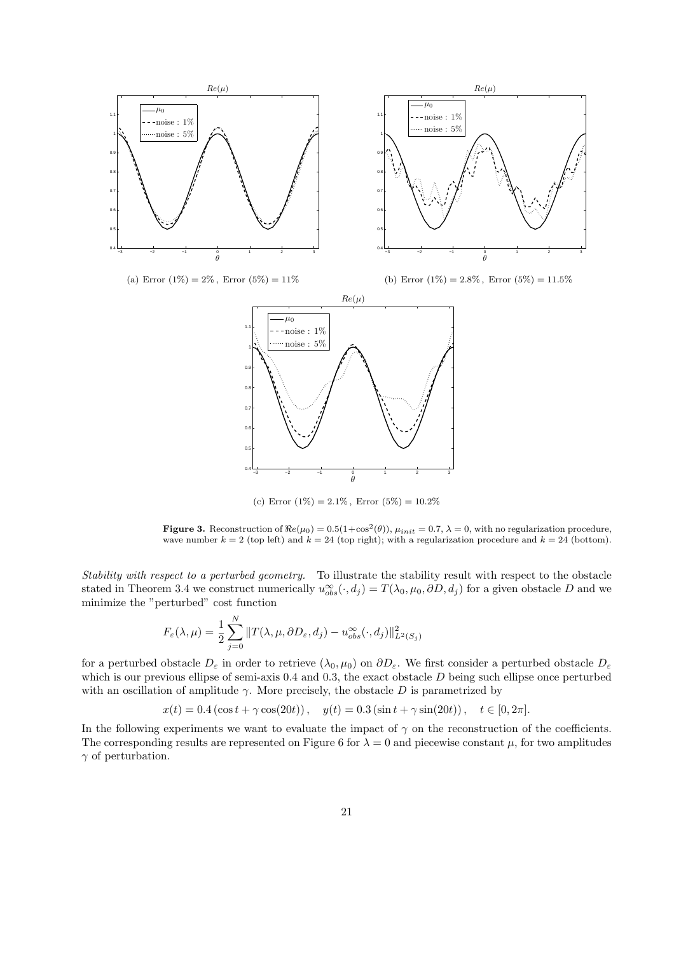

(c) Error  $(1\%) = 2.1\%$ , Error  $(5\%) = 10.2\%$ 

**Figure 3.** Reconstruction of  $\Re e(\mu_0) = 0.5(1+\cos^2(\theta))$ ,  $\mu_{init} = 0.7$ ,  $\lambda = 0$ , with no regularization procedure, wave number  $k = 2$  (top left) and  $k = 24$  (top right); with a regularization procedure and  $k = 24$  (bottom).

*Stability with respect to a perturbed geometry.* To illustrate the stability result with respect to the obstacle stated in Theorem 3.4 we construct numerically  $u_{obs}^{\infty}(\cdot, d_j) = T(\lambda_0, \mu_0, \partial D, d_j)$  for a given obstacle D and we minimize the "perturbed" cost function

$$
F_{\varepsilon}(\lambda,\mu) = \frac{1}{2} \sum_{j=0}^{N} ||T(\lambda,\mu,\partial D_{\varepsilon},d_j) - u_{obs}^{\infty}(\cdot,d_j)||_{L^{2}(S_j)}^{2}
$$

for a perturbed obstacle  $D_{\varepsilon}$  in order to retrieve  $(\lambda_0, \mu_0)$  on  $\partial D_{\varepsilon}$ . We first consider a perturbed obstacle  $D_{\varepsilon}$ which is our previous ellipse of semi-axis 0.4 and 0.3, the exact obstacle  $D$  being such ellipse once perturbed with an oscillation of amplitude  $\gamma$ . More precisely, the obstacle D is parametrized by

$$
x(t) = 0.4(\cos t + \gamma \cos(20t)), \quad y(t) = 0.3(\sin t + \gamma \sin(20t)), \quad t \in [0, 2\pi].
$$

In the following experiments we want to evaluate the impact of  $\gamma$  on the reconstruction of the coefficients. The corresponding results are represented on Figure 6 for  $\lambda = 0$  and piecewise constant  $\mu$ , for two amplitudes  $\gamma$  of perturbation.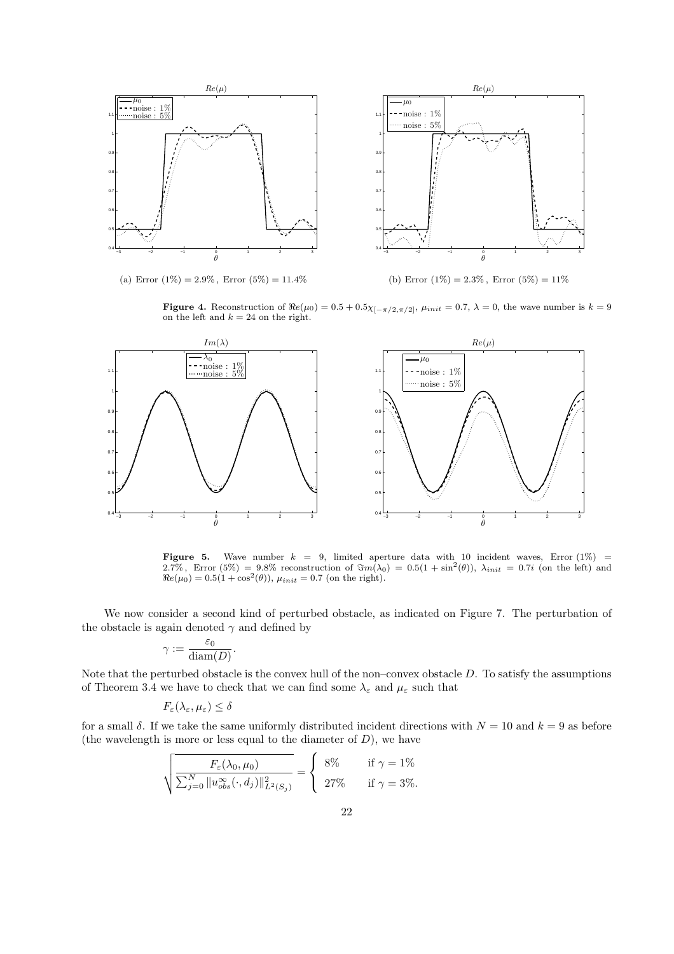

(a) Error  $(1\%) = 2.9\%$ , Error  $(5\%) = 11.4\%$ 

(b) Error  $(1\%) = 2.3\%$ , Error  $(5\%) = 11\%$ 

Figure 4. Reconstruction of  $\Re e(\mu_0) = 0.5 + 0.5\chi_{[-\pi/2,\pi/2]}, \mu_{init} = 0.7, \lambda = 0$ , the wave number is  $k = 9$ on the left and  $k = 24$  on the right.



**Figure 5.** Wave number  $k = 9$ , limited aperture data with 10 incident waves, Error (1%) = 2.7%, Error (5%) = 9.8% reconstruction of  $\Im m(\lambda_0) = 0.5(1 + \sin^2(\theta))$ ,  $\lambda_{init} = 0.7i$  (on the left) and  $\Re e(\mu_0) = 0.5(1 + \cos^2(\theta))$ ,  $\mu_{init} = 0.7$  (on the right).

We now consider a second kind of perturbed obstacle, as indicated on Figure 7. The perturbation of the obstacle is again denoted  $\gamma$  and defined by

$$
\gamma := \frac{\varepsilon_0}{\text{diam}(D)}.
$$

Note that the perturbed obstacle is the convex hull of the non–convex obstacle  $D$ . To satisfy the assumptions of Theorem 3.4 we have to check that we can find some  $\lambda_{\varepsilon}$  and  $\mu_{\varepsilon}$  such that

$$
F_{\varepsilon}(\lambda_{\varepsilon},\mu_{\varepsilon})\leq\delta
$$

for a small  $\delta$ . If we take the same uniformly distributed incident directions with  $N = 10$  and  $k = 9$  as before (the wavelength is more or less equal to the diameter of  $D$ ), we have

$$
\sqrt{\frac{F_{\varepsilon}(\lambda_0,\mu_0)}{\sum_{j=0}^N \|u_{obs}^{\infty}(\cdot,d_j)\|_{L^2(S_j)}^2}} = \begin{cases} 8\% & \text{if } \gamma = 1\% \\ 27\% & \text{if } \gamma = 3\% .\end{cases}
$$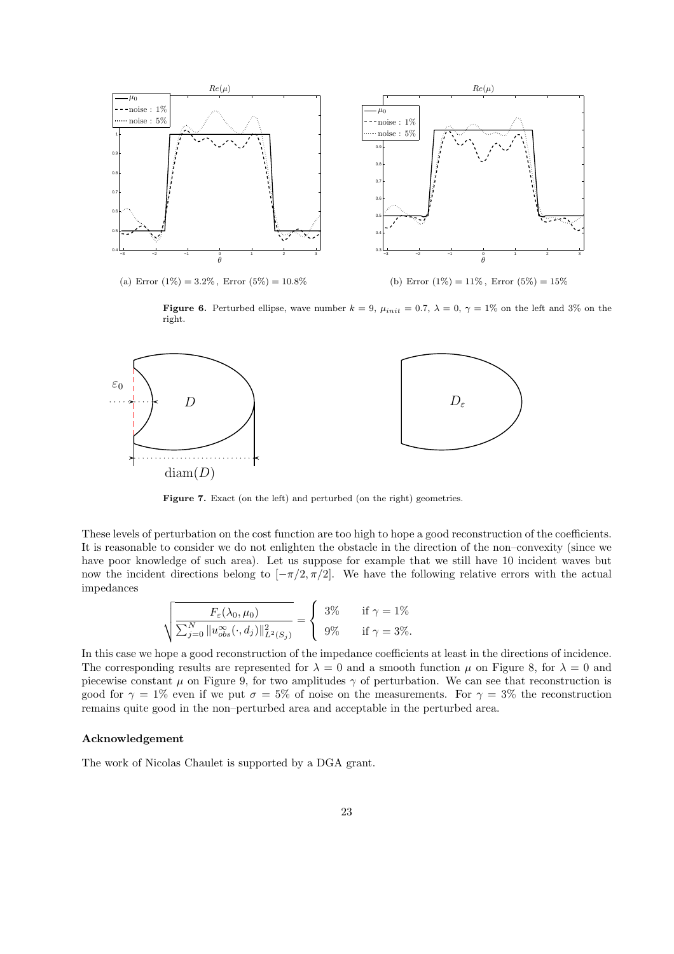

**Figure 6.** Perturbed ellipse, wave number  $k = 9$ ,  $\mu_{init} = 0.7$ ,  $\lambda = 0$ ,  $\gamma = 1\%$  on the left and 3% on the right.



Figure 7. Exact (on the left) and perturbed (on the right) geometries.

These levels of perturbation on the cost function are too high to hope a good reconstruction of the coefficients. It is reasonable to consider we do not enlighten the obstacle in the direction of the non–convexity (since we have poor knowledge of such area). Let us suppose for example that we still have 10 incident waves but now the incident directions belong to  $[-\pi/2, \pi/2]$ . We have the following relative errors with the actual impedances

$$
\sqrt{\frac{F_{\varepsilon}(\lambda_0, \mu_0)}{\sum_{j=0}^N \|u_{obs}^{\infty}(\cdot, d_j)\|_{L^2(S_j)}^2}} = \begin{cases} 3\% & \text{if } \gamma = 1\%\\ 9\% & \text{if } \gamma = 3\% \end{cases}
$$

In this case we hope a good reconstruction of the impedance coefficients at least in the directions of incidence. The corresponding results are represented for  $\lambda = 0$  and a smooth function  $\mu$  on Figure 8, for  $\lambda = 0$  and piecewise constant  $\mu$  on Figure 9, for two amplitudes  $\gamma$  of perturbation. We can see that reconstruction is good for  $\gamma = 1\%$  even if we put  $\sigma = 5\%$  of noise on the measurements. For  $\gamma = 3\%$  the reconstruction remains quite good in the non–perturbed area and acceptable in the perturbed area.

## Acknowledgement

The work of Nicolas Chaulet is supported by a DGA grant.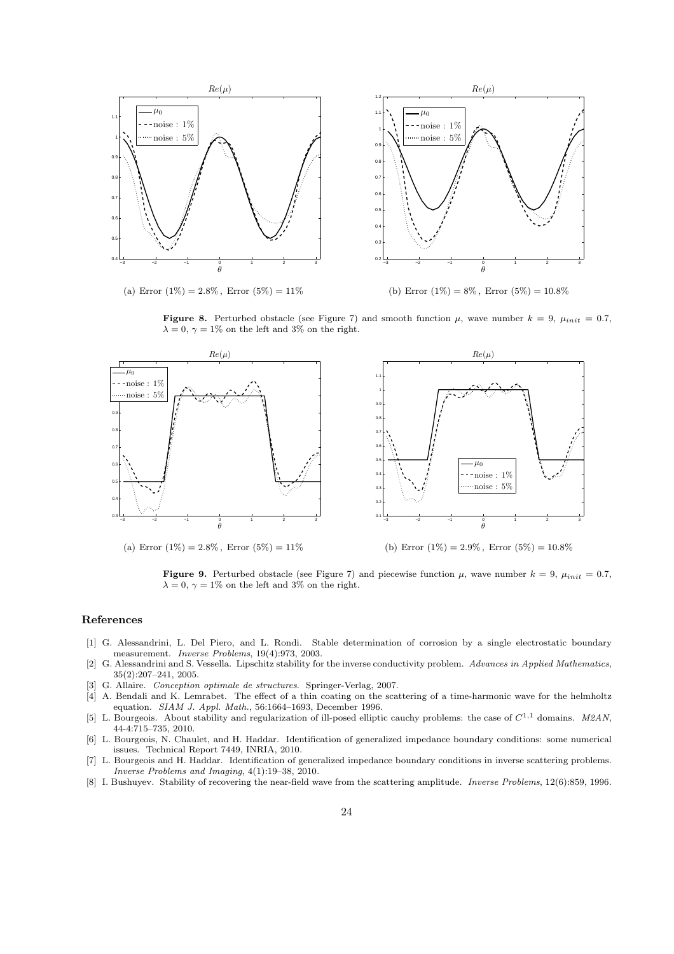

(a) Error  $(1\%) = 2.8\%$ , Error  $(5\%) = 11\%$ 

(b) Error  $(1\%) = 8\%$ , Error  $(5\%) = 10.8\%$ 

**Figure 8.** Perturbed obstacle (see Figure 7) and smooth function  $\mu$ , wave number  $k = 9$ ,  $\mu_{init} = 0.7$ ,  $\lambda = 0, \gamma = 1\%$  on the left and 3% on the right.



(a) Error  $(1\%) = 2.8\%$ , Error  $(5\%) = 11\%$ 

(b) Error  $(1\%) = 2.9\%$ , Error  $(5\%) = 10.8\%$ 

**Figure 9.** Perturbed obstacle (see Figure 7) and piecewise function  $\mu$ , wave number  $k = 9$ ,  $\mu_{init} = 0.7$ ,  $\lambda = 0, \gamma = 1\%$  on the left and 3% on the right.

#### References

- [1] G. Alessandrini, L. Del Piero, and L. Rondi. Stable determination of corrosion by a single electrostatic boundary measurement. *Inverse Problems*, 19(4):973, 2003.
- [2] G. Alessandrini and S. Vessella. Lipschitz stability for the inverse conductivity problem. *Advances in Applied Mathematics*, 35(2):207–241, 2005.
- [3] G. Allaire. *Conception optimale de structures*. Springer-Verlag, 2007.
- [4] A. Bendali and K. Lemrabet. The effect of a thin coating on the scattering of a time-harmonic wave for the helmholtz equation. *SIAM J. Appl. Math.*, 56:1664–1693, December 1996.
- [5] L. Bourgeois. About stability and regularization of ill-posed elliptic cauchy problems: the case of  $C^{1,1}$  domains. *M2AN*, 44-4:715–735, 2010.
- [6] L. Bourgeois, N. Chaulet, and H. Haddar. Identification of generalized impedance boundary conditions: some numerical issues. Technical Report 7449, INRIA, 2010.
- [7] L. Bourgeois and H. Haddar. Identification of generalized impedance boundary conditions in inverse scattering problems. *Inverse Problems and Imaging*, 4(1):19–38, 2010.
- [8] I. Bushuyev. Stability of recovering the near-field wave from the scattering amplitude. *Inverse Problems*, 12(6):859, 1996.